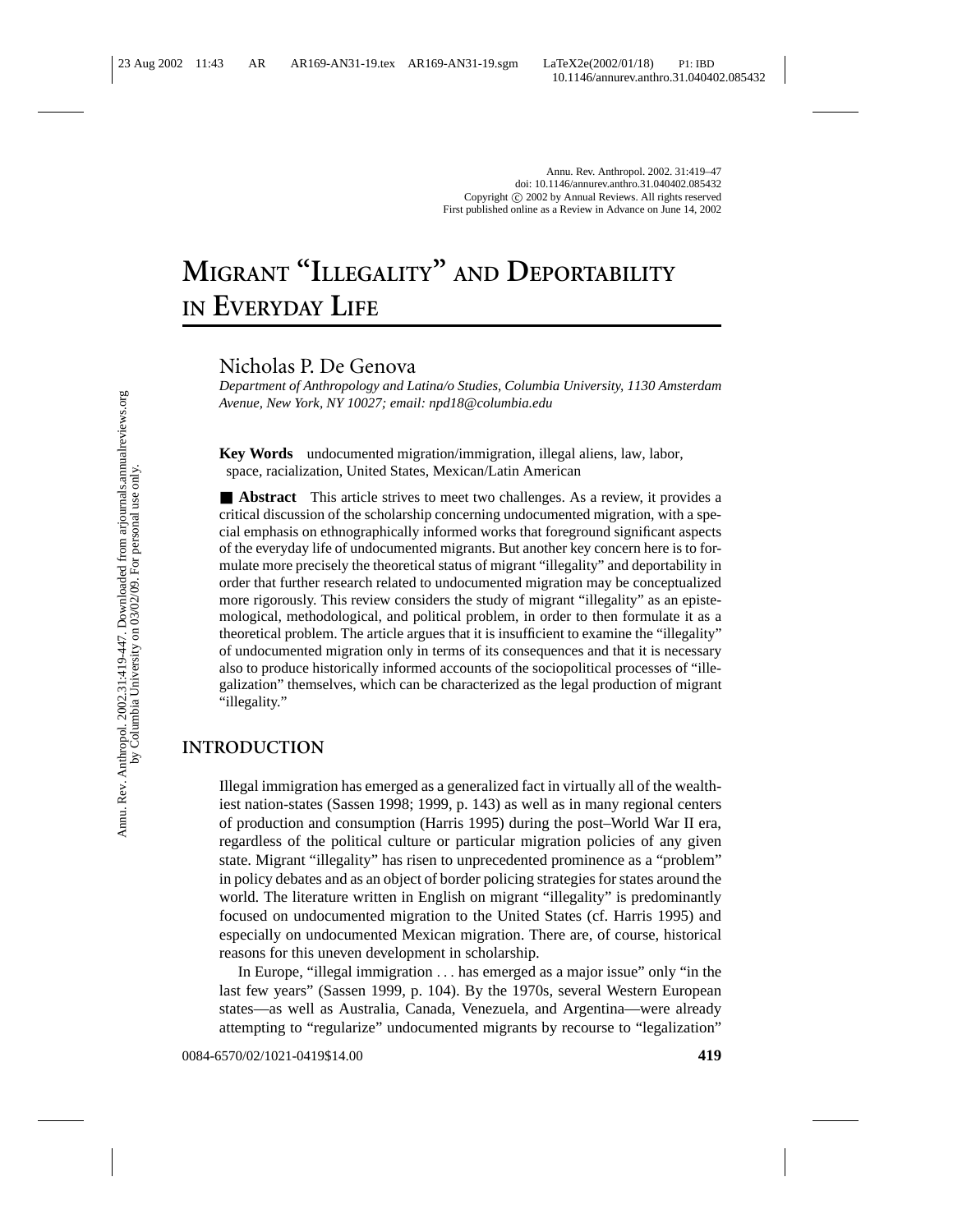# **MIGRANT "ILLEGALITY" AND DEPORTABILITY IN EVERYDAY LIFE**

Nicholas P. De Genova

*Department of Anthropology and Latina/o Studies, Columbia University, 1130 Amsterdam Avenue, New York, NY 10027; email: npd18@columbia.edu*

**Key Words** undocumented migration/immigration, illegal aliens, law, labor, space, racialization, United States, Mexican/Latin American

■ **Abstract** This article strives to meet two challenges. As a review, it provides a critical discussion of the scholarship concerning undocumented migration, with a special emphasis on ethnographically informed works that foreground significant aspects of the everyday life of undocumented migrants. But another key concern here is to formulate more precisely the theoretical status of migrant "illegality" and deportability in order that further research related to undocumented migration may be conceptualized more rigorously. This review considers the study of migrant "illegality" as an epistemological, methodological, and political problem, in order to then formulate it as a theoretical problem. The article argues that it is insufficient to examine the "illegality" of undocumented migration only in terms of its consequences and that it is necessary also to produce historically informed accounts of the sociopolitical processes of "illegalization" themselves, which can be characterized as the legal production of migrant "illegality."

### **INTRODUCTION**

Illegal immigration has emerged as a generalized fact in virtually all of the wealthiest nation-states (Sassen 1998; 1999, p. 143) as well as in many regional centers of production and consumption (Harris 1995) during the post–World War II era, regardless of the political culture or particular migration policies of any given state. Migrant "illegality" has risen to unprecedented prominence as a "problem" in policy debates and as an object of border policing strategies for states around the world. The literature written in English on migrant "illegality" is predominantly focused on undocumented migration to the United States (cf. Harris 1995) and especially on undocumented Mexican migration. There are, of course, historical reasons for this uneven development in scholarship.

In Europe, "illegal immigration ... has emerged as a major issue" only "in the last few years" (Sassen 1999, p. 104). By the 1970s, several Western European states—as well as Australia, Canada, Venezuela, and Argentina—were already attempting to "regularize" undocumented migrants by recourse to "legalization"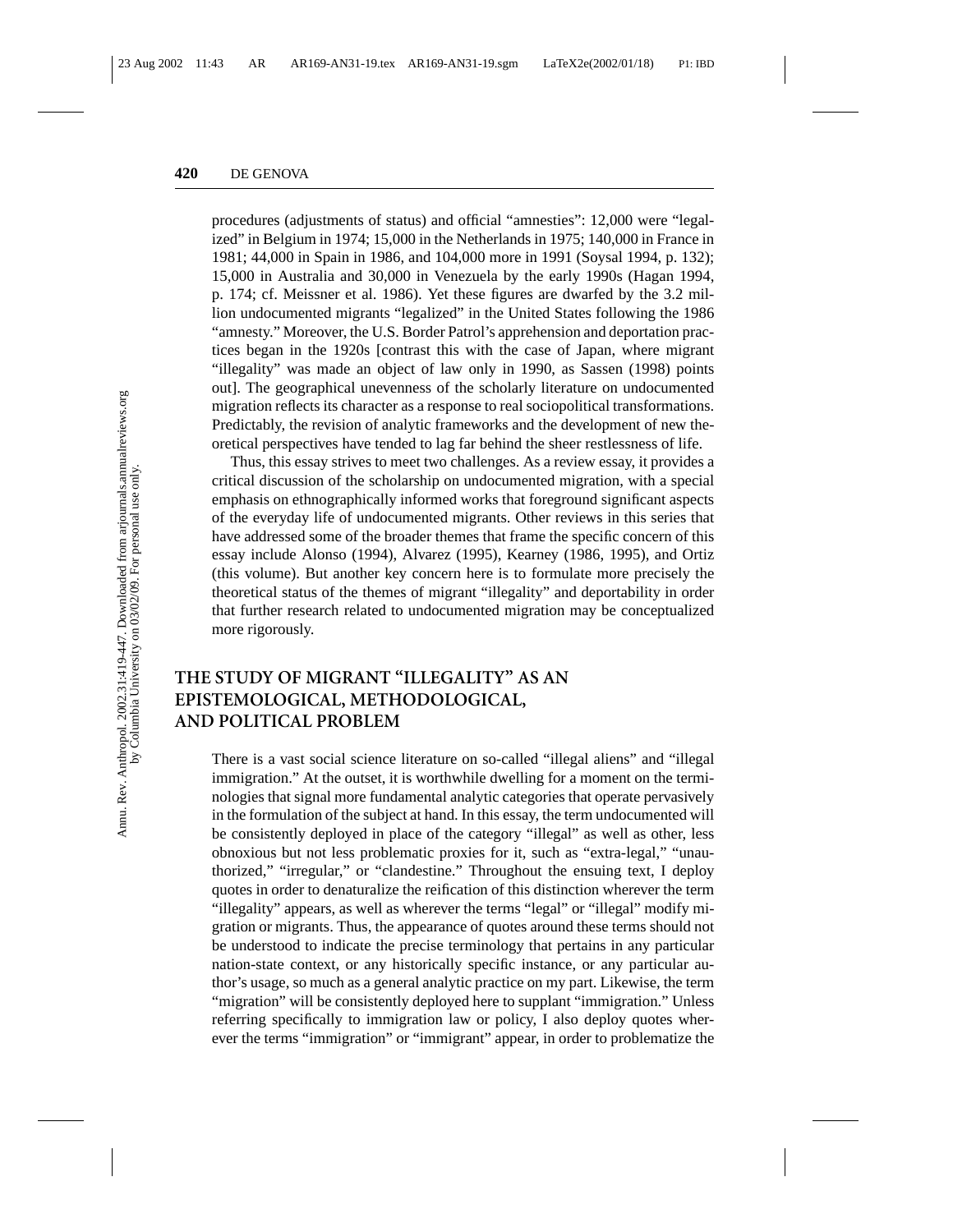procedures (adjustments of status) and official "amnesties": 12,000 were "legalized" in Belgium in 1974; 15,000 in the Netherlands in 1975; 140,000 in France in 1981; 44,000 in Spain in 1986, and 104,000 more in 1991 (Soysal 1994, p. 132); 15,000 in Australia and 30,000 in Venezuela by the early 1990s (Hagan 1994, p. 174; cf. Meissner et al. 1986). Yet these figures are dwarfed by the 3.2 million undocumented migrants "legalized" in the United States following the 1986 "amnesty." Moreover, the U.S. Border Patrol's apprehension and deportation practices began in the 1920s [contrast this with the case of Japan, where migrant "illegality" was made an object of law only in 1990, as Sassen (1998) points out]. The geographical unevenness of the scholarly literature on undocumented migration reflects its character as a response to real sociopolitical transformations. Predictably, the revision of analytic frameworks and the development of new theoretical perspectives have tended to lag far behind the sheer restlessness of life.

Thus, this essay strives to meet two challenges. As a review essay, it provides a critical discussion of the scholarship on undocumented migration, with a special emphasis on ethnographically informed works that foreground significant aspects of the everyday life of undocumented migrants. Other reviews in this series that have addressed some of the broader themes that frame the specific concern of this essay include Alonso (1994), Alvarez (1995), Kearney (1986, 1995), and Ortiz (this volume). But another key concern here is to formulate more precisely the theoretical status of the themes of migrant "illegality" and deportability in order that further research related to undocumented migration may be conceptualized more rigorously.

## **THE STUDY OF MIGRANT "ILLEGALITY" AS AN EPISTEMOLOGICAL, METHODOLOGICAL, AND POLITICAL PROBLEM**

There is a vast social science literature on so-called "illegal aliens" and "illegal immigration." At the outset, it is worthwhile dwelling for a moment on the terminologies that signal more fundamental analytic categories that operate pervasively in the formulation of the subject at hand. In this essay, the term undocumented will be consistently deployed in place of the category "illegal" as well as other, less obnoxious but not less problematic proxies for it, such as "extra-legal," "unauthorized," "irregular," or "clandestine." Throughout the ensuing text, I deploy quotes in order to denaturalize the reification of this distinction wherever the term "illegality" appears, as well as wherever the terms "legal" or "illegal" modify migration or migrants. Thus, the appearance of quotes around these terms should not be understood to indicate the precise terminology that pertains in any particular nation-state context, or any historically specific instance, or any particular author's usage, so much as a general analytic practice on my part. Likewise, the term "migration" will be consistently deployed here to supplant "immigration." Unless referring specifically to immigration law or policy, I also deploy quotes wherever the terms "immigration" or "immigrant" appear, in order to problematize the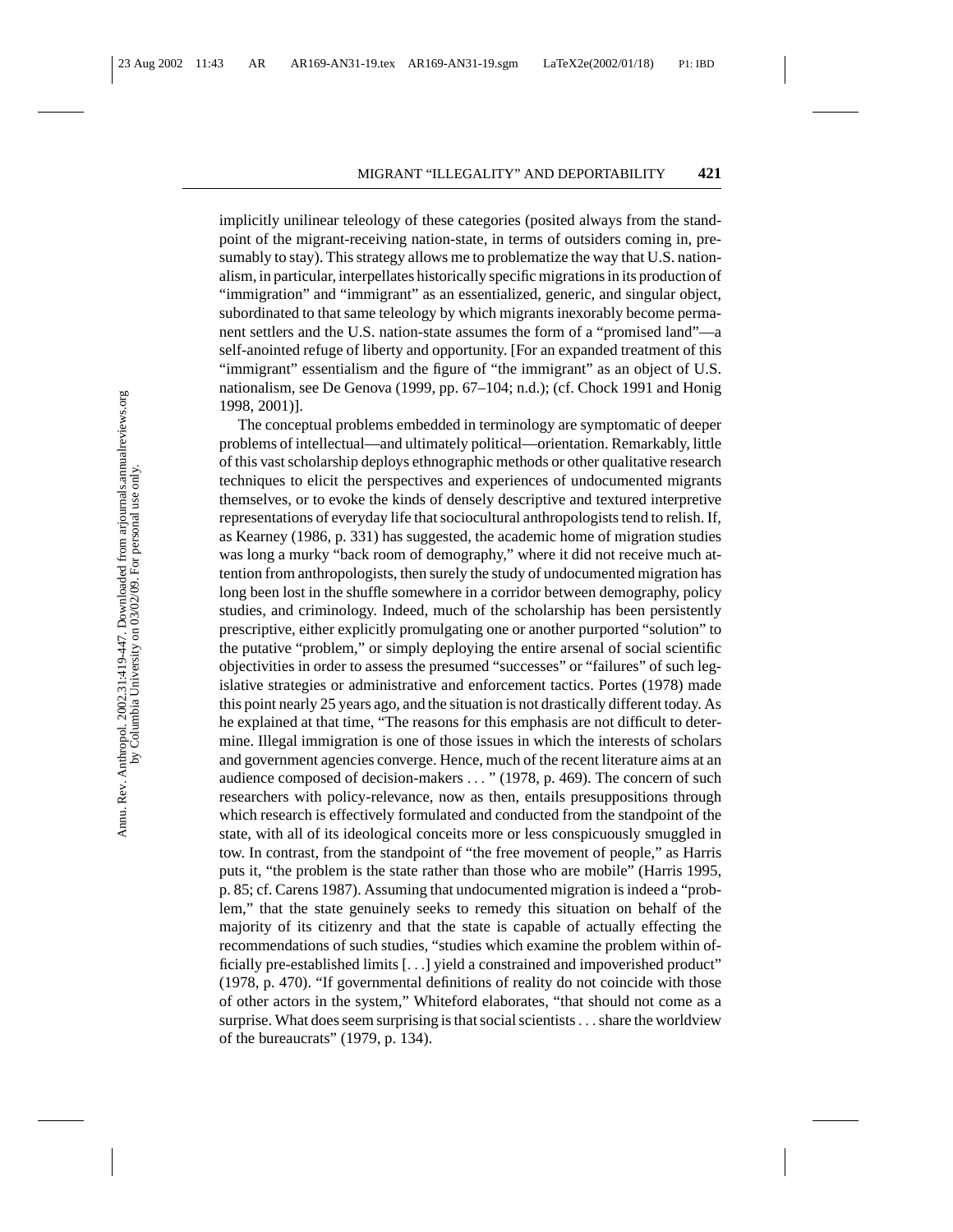implicitly unilinear teleology of these categories (posited always from the standpoint of the migrant-receiving nation-state, in terms of outsiders coming in, presumably to stay). This strategy allows me to problematize the way that U.S. nationalism, in particular, interpellates historically specific migrations in its production of "immigration" and "immigrant" as an essentialized, generic, and singular object, subordinated to that same teleology by which migrants inexorably become permanent settlers and the U.S. nation-state assumes the form of a "promised land"—a self-anointed refuge of liberty and opportunity. [For an expanded treatment of this "immigrant" essentialism and the figure of "the immigrant" as an object of U.S. nationalism, see De Genova (1999, pp. 67–104; n.d.); (cf. Chock 1991 and Honig 1998, 2001)].

The conceptual problems embedded in terminology are symptomatic of deeper problems of intellectual—and ultimately political—orientation. Remarkably, little of this vast scholarship deploys ethnographic methods or other qualitative research techniques to elicit the perspectives and experiences of undocumented migrants themselves, or to evoke the kinds of densely descriptive and textured interpretive representations of everyday life that sociocultural anthropologists tend to relish. If, as Kearney (1986, p. 331) has suggested, the academic home of migration studies was long a murky "back room of demography," where it did not receive much attention from anthropologists, then surely the study of undocumented migration has long been lost in the shuffle somewhere in a corridor between demography, policy studies, and criminology. Indeed, much of the scholarship has been persistently prescriptive, either explicitly promulgating one or another purported "solution" to the putative "problem," or simply deploying the entire arsenal of social scientific objectivities in order to assess the presumed "successes" or "failures" of such legislative strategies or administrative and enforcement tactics. Portes (1978) made this point nearly 25 years ago, and the situation is not drastically different today. As he explained at that time, "The reasons for this emphasis are not difficult to determine. Illegal immigration is one of those issues in which the interests of scholars and government agencies converge. Hence, much of the recent literature aims at an audience composed of decision-makers ... " (1978, p. 469). The concern of such researchers with policy-relevance, now as then, entails presuppositions through which research is effectively formulated and conducted from the standpoint of the state, with all of its ideological conceits more or less conspicuously smuggled in tow. In contrast, from the standpoint of "the free movement of people," as Harris puts it, "the problem is the state rather than those who are mobile" (Harris 1995, p. 85; cf. Carens 1987). Assuming that undocumented migration is indeed a "problem," that the state genuinely seeks to remedy this situation on behalf of the majority of its citizenry and that the state is capable of actually effecting the recommendations of such studies, "studies which examine the problem within officially pre-established limits [...] yield a constrained and impoverished product" (1978, p. 470). "If governmental definitions of reality do not coincide with those of other actors in the system," Whiteford elaborates, "that should not come as a surprise. What does seem surprising is that social scientists . . . share the worldview of the bureaucrats" (1979, p. 134).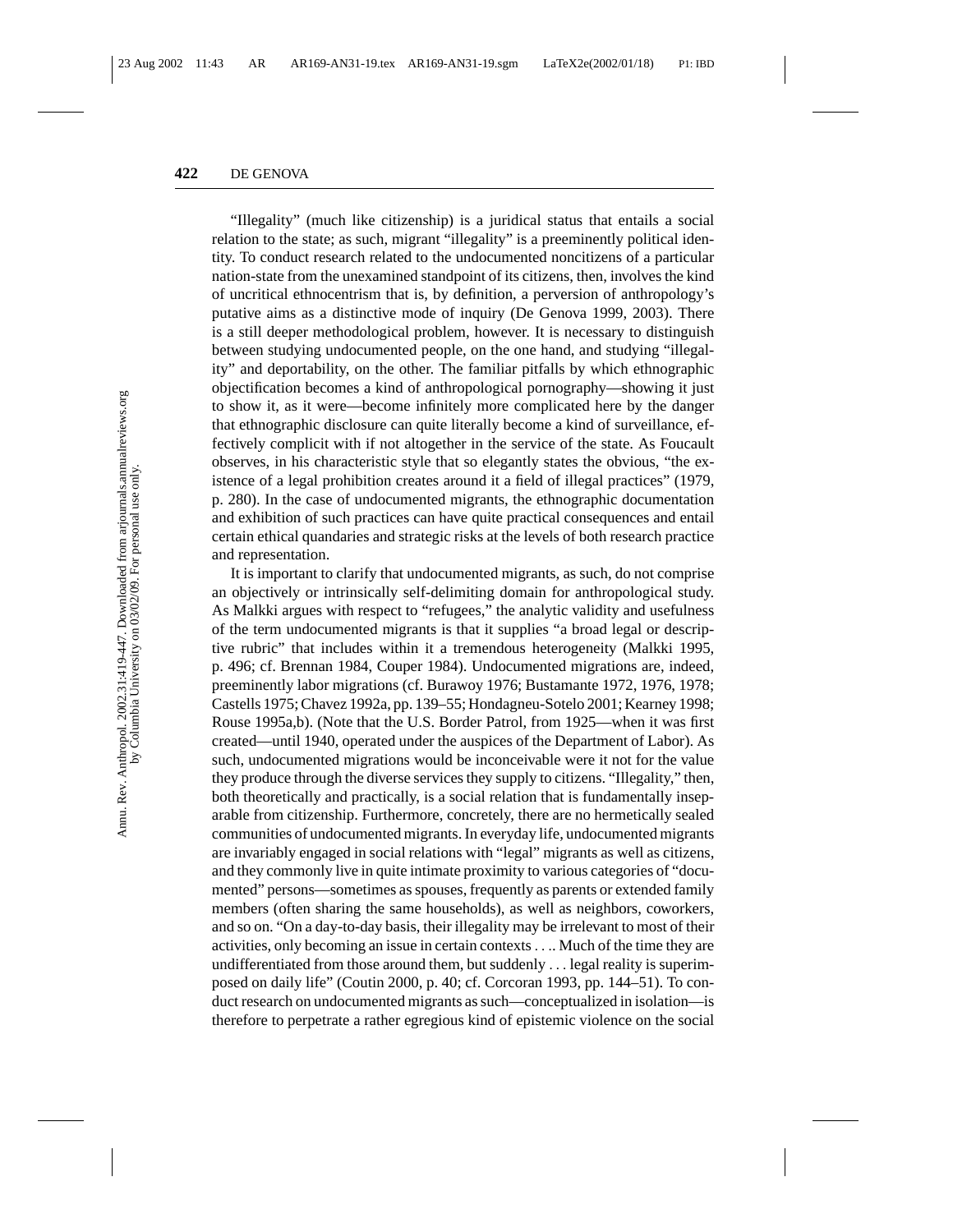"Illegality" (much like citizenship) is a juridical status that entails a social relation to the state; as such, migrant "illegality" is a preeminently political identity. To conduct research related to the undocumented noncitizens of a particular nation-state from the unexamined standpoint of its citizens, then, involves the kind of uncritical ethnocentrism that is, by definition, a perversion of anthropology's putative aims as a distinctive mode of inquiry (De Genova 1999, 2003). There is a still deeper methodological problem, however. It is necessary to distinguish between studying undocumented people, on the one hand, and studying "illegality" and deportability, on the other. The familiar pitfalls by which ethnographic objectification becomes a kind of anthropological pornography—showing it just to show it, as it were—become infinitely more complicated here by the danger that ethnographic disclosure can quite literally become a kind of surveillance, effectively complicit with if not altogether in the service of the state. As Foucault observes, in his characteristic style that so elegantly states the obvious, "the existence of a legal prohibition creates around it a field of illegal practices" (1979, p. 280). In the case of undocumented migrants, the ethnographic documentation and exhibition of such practices can have quite practical consequences and entail certain ethical quandaries and strategic risks at the levels of both research practice and representation.

It is important to clarify that undocumented migrants, as such, do not comprise an objectively or intrinsically self-delimiting domain for anthropological study. As Malkki argues with respect to "refugees," the analytic validity and usefulness of the term undocumented migrants is that it supplies "a broad legal or descriptive rubric" that includes within it a tremendous heterogeneity (Malkki 1995, p. 496; cf. Brennan 1984, Couper 1984). Undocumented migrations are, indeed, preeminently labor migrations (cf. Burawoy 1976; Bustamante 1972, 1976, 1978; Castells 1975; Chavez 1992a, pp. 139–55; Hondagneu-Sotelo 2001; Kearney 1998; Rouse 1995a,b). (Note that the U.S. Border Patrol, from 1925—when it was first created—until 1940, operated under the auspices of the Department of Labor). As such, undocumented migrations would be inconceivable were it not for the value they produce through the diverse services they supply to citizens. "Illegality," then, both theoretically and practically, is a social relation that is fundamentally inseparable from citizenship. Furthermore, concretely, there are no hermetically sealed communities of undocumented migrants. In everyday life, undocumented migrants are invariably engaged in social relations with "legal" migrants as well as citizens, and they commonly live in quite intimate proximity to various categories of "documented" persons—sometimes as spouses, frequently as parents or extended family members (often sharing the same households), as well as neighbors, coworkers, and so on. "On a day-to-day basis, their illegality may be irrelevant to most of their activities, only becoming an issue in certain contexts.... Much of the time they are undifferentiated from those around them, but suddenly ... legal reality is superimposed on daily life" (Coutin 2000, p. 40; cf. Corcoran 1993, pp. 144–51). To conduct research on undocumented migrants as such—conceptualized in isolation—is therefore to perpetrate a rather egregious kind of epistemic violence on the social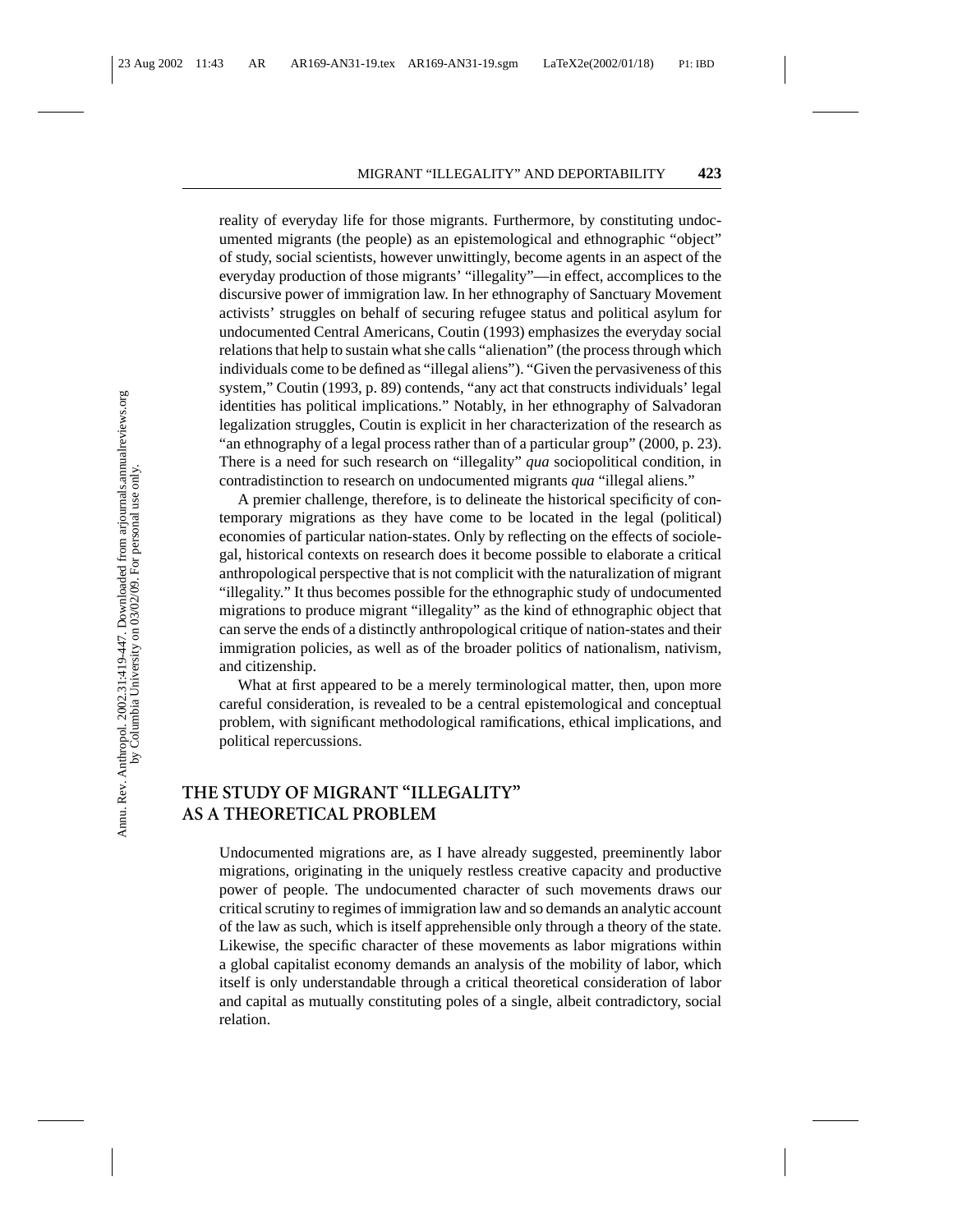reality of everyday life for those migrants. Furthermore, by constituting undocumented migrants (the people) as an epistemological and ethnographic "object" of study, social scientists, however unwittingly, become agents in an aspect of the everyday production of those migrants' "illegality"—in effect, accomplices to the discursive power of immigration law. In her ethnography of Sanctuary Movement activists' struggles on behalf of securing refugee status and political asylum for undocumented Central Americans, Coutin (1993) emphasizes the everyday social relations that help to sustain what she calls "alienation" (the process through which individuals come to be defined as "illegal aliens"). "Given the pervasiveness of this system," Coutin (1993, p. 89) contends, "any act that constructs individuals' legal identities has political implications." Notably, in her ethnography of Salvadoran legalization struggles, Coutin is explicit in her characterization of the research as "an ethnography of a legal process rather than of a particular group" (2000, p. 23). There is a need for such research on "illegality" *qua* sociopolitical condition, in contradistinction to research on undocumented migrants *qua* "illegal aliens."

A premier challenge, therefore, is to delineate the historical specificity of contemporary migrations as they have come to be located in the legal (political) economies of particular nation-states. Only by reflecting on the effects of sociolegal, historical contexts on research does it become possible to elaborate a critical anthropological perspective that is not complicit with the naturalization of migrant "illegality." It thus becomes possible for the ethnographic study of undocumented migrations to produce migrant "illegality" as the kind of ethnographic object that can serve the ends of a distinctly anthropological critique of nation-states and their immigration policies, as well as of the broader politics of nationalism, nativism, and citizenship.

What at first appeared to be a merely terminological matter, then, upon more careful consideration, is revealed to be a central epistemological and conceptual problem, with significant methodological ramifications, ethical implications, and political repercussions.

## **THE STUDY OF MIGRANT "ILLEGALITY" AS A THEORETICAL PROBLEM**

Undocumented migrations are, as I have already suggested, preeminently labor migrations, originating in the uniquely restless creative capacity and productive power of people. The undocumented character of such movements draws our critical scrutiny to regimes of immigration law and so demands an analytic account of the law as such, which is itself apprehensible only through a theory of the state. Likewise, the specific character of these movements as labor migrations within a global capitalist economy demands an analysis of the mobility of labor, which itself is only understandable through a critical theoretical consideration of labor and capital as mutually constituting poles of a single, albeit contradictory, social relation.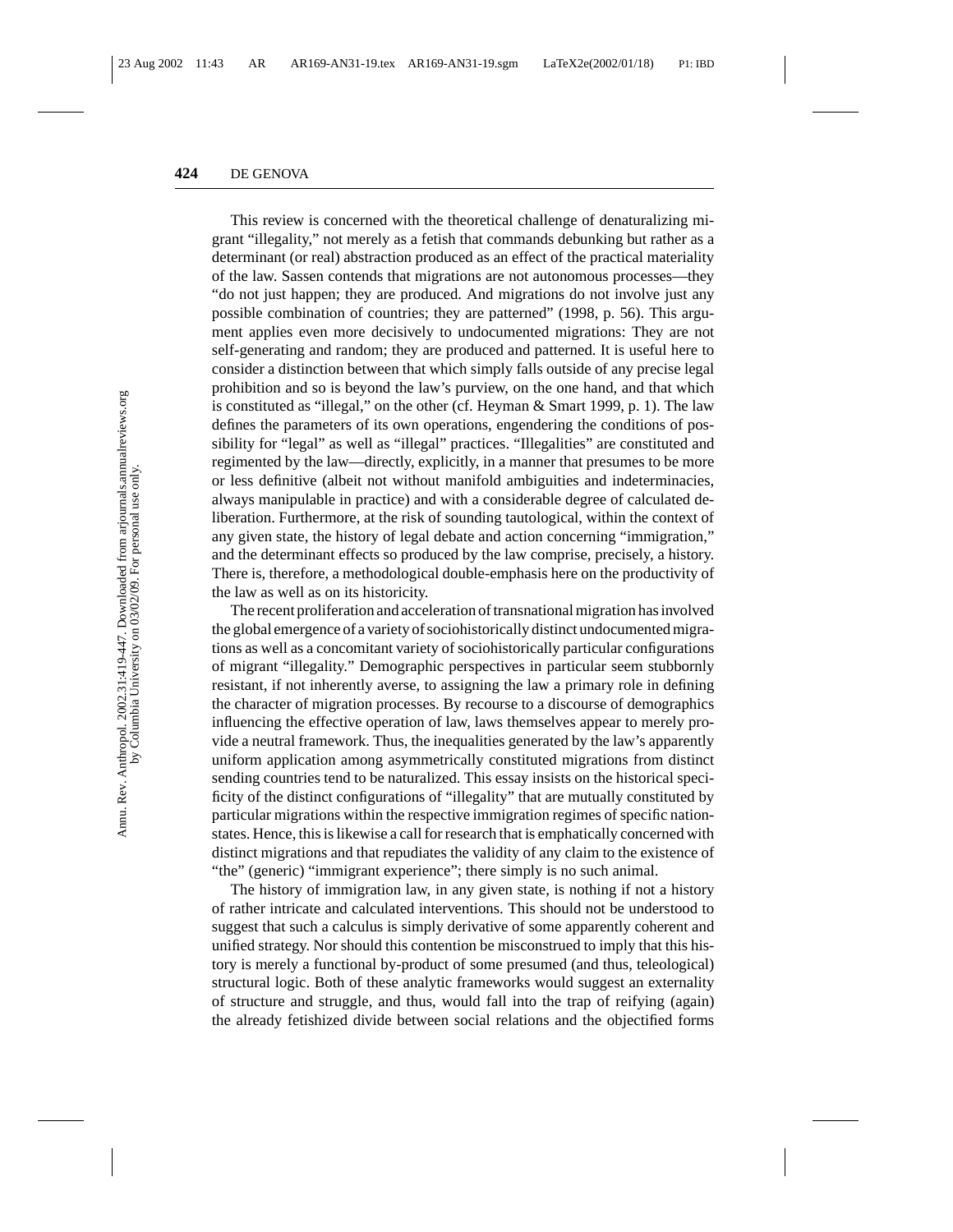This review is concerned with the theoretical challenge of denaturalizing migrant "illegality," not merely as a fetish that commands debunking but rather as a determinant (or real) abstraction produced as an effect of the practical materiality of the law. Sassen contends that migrations are not autonomous processes—they "do not just happen; they are produced. And migrations do not involve just any possible combination of countries; they are patterned" (1998, p. 56). This argument applies even more decisively to undocumented migrations: They are not self-generating and random; they are produced and patterned. It is useful here to consider a distinction between that which simply falls outside of any precise legal prohibition and so is beyond the law's purview, on the one hand, and that which is constituted as "illegal," on the other (cf. Heyman & Smart 1999, p. 1). The law defines the parameters of its own operations, engendering the conditions of possibility for "legal" as well as "illegal" practices. "Illegalities" are constituted and regimented by the law—directly, explicitly, in a manner that presumes to be more or less definitive (albeit not without manifold ambiguities and indeterminacies, always manipulable in practice) and with a considerable degree of calculated deliberation. Furthermore, at the risk of sounding tautological, within the context of any given state, the history of legal debate and action concerning "immigration," and the determinant effects so produced by the law comprise, precisely, a history. There is, therefore, a methodological double-emphasis here on the productivity of the law as well as on its historicity.

The recent proliferation and acceleration of transnational migration has involved the global emergence of a variety of sociohistorically distinct undocumented migrations as well as a concomitant variety of sociohistorically particular configurations of migrant "illegality." Demographic perspectives in particular seem stubbornly resistant, if not inherently averse, to assigning the law a primary role in defining the character of migration processes. By recourse to a discourse of demographics influencing the effective operation of law, laws themselves appear to merely provide a neutral framework. Thus, the inequalities generated by the law's apparently uniform application among asymmetrically constituted migrations from distinct sending countries tend to be naturalized. This essay insists on the historical specificity of the distinct configurations of "illegality" that are mutually constituted by particular migrations within the respective immigration regimes of specific nationstates. Hence, this is likewise a call for research that is emphatically concerned with distinct migrations and that repudiates the validity of any claim to the existence of "the" (generic) "immigrant experience"; there simply is no such animal.

The history of immigration law, in any given state, is nothing if not a history of rather intricate and calculated interventions. This should not be understood to suggest that such a calculus is simply derivative of some apparently coherent and unified strategy. Nor should this contention be misconstrued to imply that this history is merely a functional by-product of some presumed (and thus, teleological) structural logic. Both of these analytic frameworks would suggest an externality of structure and struggle, and thus, would fall into the trap of reifying (again) the already fetishized divide between social relations and the objectified forms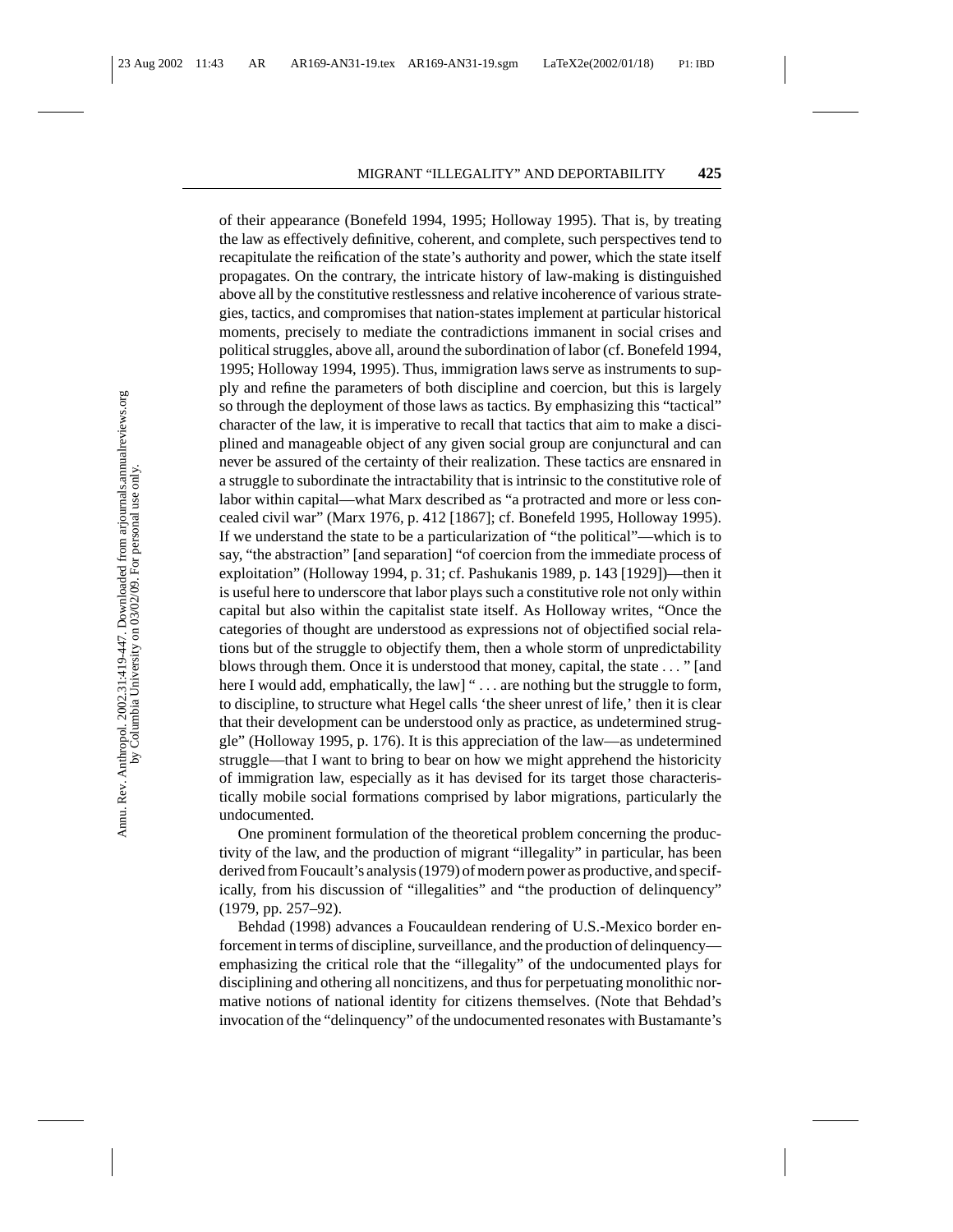of their appearance (Bonefeld 1994, 1995; Holloway 1995). That is, by treating the law as effectively definitive, coherent, and complete, such perspectives tend to recapitulate the reification of the state's authority and power, which the state itself propagates. On the contrary, the intricate history of law-making is distinguished above all by the constitutive restlessness and relative incoherence of various strategies, tactics, and compromises that nation-states implement at particular historical moments, precisely to mediate the contradictions immanent in social crises and political struggles, above all, around the subordination of labor (cf. Bonefeld 1994, 1995; Holloway 1994, 1995). Thus, immigration laws serve as instruments to supply and refine the parameters of both discipline and coercion, but this is largely so through the deployment of those laws as tactics. By emphasizing this "tactical" character of the law, it is imperative to recall that tactics that aim to make a disciplined and manageable object of any given social group are conjunctural and can never be assured of the certainty of their realization. These tactics are ensnared in a struggle to subordinate the intractability that is intrinsic to the constitutive role of labor within capital—what Marx described as "a protracted and more or less concealed civil war" (Marx 1976, p. 412 [1867]; cf. Bonefeld 1995, Holloway 1995). If we understand the state to be a particularization of "the political"—which is to say, "the abstraction" [and separation] "of coercion from the immediate process of exploitation" (Holloway 1994, p. 31; cf. Pashukanis 1989, p. 143 [1929])—then it is useful here to underscore that labor plays such a constitutive role not only within capital but also within the capitalist state itself. As Holloway writes, "Once the categories of thought are understood as expressions not of objectified social relations but of the struggle to objectify them, then a whole storm of unpredictability blows through them. Once it is understood that money, capital, the state ... " [and here I would add, emphatically, the law] " . . . are nothing but the struggle to form, to discipline, to structure what Hegel calls 'the sheer unrest of life,' then it is clear that their development can be understood only as practice, as undetermined struggle" (Holloway 1995, p. 176). It is this appreciation of the law—as undetermined struggle—that I want to bring to bear on how we might apprehend the historicity of immigration law, especially as it has devised for its target those characteristically mobile social formations comprised by labor migrations, particularly the undocumented.

One prominent formulation of the theoretical problem concerning the productivity of the law, and the production of migrant "illegality" in particular, has been derived from Foucault's analysis (1979) of modern power as productive, and specifically, from his discussion of "illegalities" and "the production of delinquency" (1979, pp. 257–92).

Behdad (1998) advances a Foucauldean rendering of U.S.-Mexico border enforcement in terms of discipline, surveillance, and the production of delinquency emphasizing the critical role that the "illegality" of the undocumented plays for disciplining and othering all noncitizens, and thus for perpetuating monolithic normative notions of national identity for citizens themselves. (Note that Behdad's invocation of the "delinquency" of the undocumented resonates with Bustamante's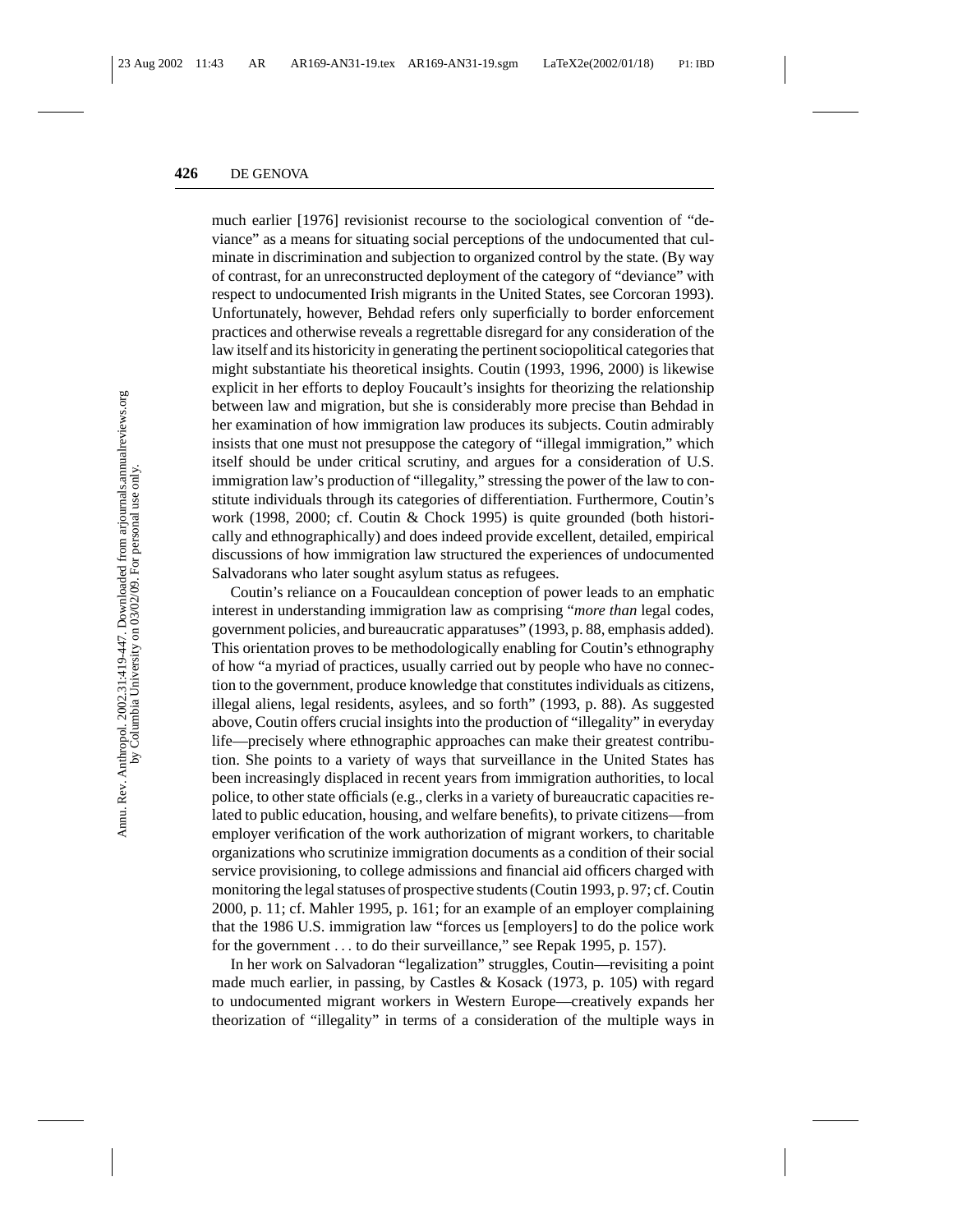much earlier [1976] revisionist recourse to the sociological convention of "deviance" as a means for situating social perceptions of the undocumented that culminate in discrimination and subjection to organized control by the state. (By way of contrast, for an unreconstructed deployment of the category of "deviance" with respect to undocumented Irish migrants in the United States, see Corcoran 1993). Unfortunately, however, Behdad refers only superficially to border enforcement practices and otherwise reveals a regrettable disregard for any consideration of the law itself and its historicity in generating the pertinent sociopolitical categories that might substantiate his theoretical insights. Coutin (1993, 1996, 2000) is likewise explicit in her efforts to deploy Foucault's insights for theorizing the relationship between law and migration, but she is considerably more precise than Behdad in her examination of how immigration law produces its subjects. Coutin admirably insists that one must not presuppose the category of "illegal immigration," which itself should be under critical scrutiny, and argues for a consideration of U.S. immigration law's production of "illegality," stressing the power of the law to constitute individuals through its categories of differentiation. Furthermore, Coutin's work (1998, 2000; cf. Coutin & Chock 1995) is quite grounded (both historically and ethnographically) and does indeed provide excellent, detailed, empirical discussions of how immigration law structured the experiences of undocumented Salvadorans who later sought asylum status as refugees.

Coutin's reliance on a Foucauldean conception of power leads to an emphatic interest in understanding immigration law as comprising "*more than* legal codes, government policies, and bureaucratic apparatuses" (1993, p. 88, emphasis added). This orientation proves to be methodologically enabling for Coutin's ethnography of how "a myriad of practices, usually carried out by people who have no connection to the government, produce knowledge that constitutes individuals as citizens, illegal aliens, legal residents, asylees, and so forth" (1993, p. 88). As suggested above, Coutin offers crucial insights into the production of "illegality" in everyday life—precisely where ethnographic approaches can make their greatest contribution. She points to a variety of ways that surveillance in the United States has been increasingly displaced in recent years from immigration authorities, to local police, to other state officials (e.g., clerks in a variety of bureaucratic capacities related to public education, housing, and welfare benefits), to private citizens—from employer verification of the work authorization of migrant workers, to charitable organizations who scrutinize immigration documents as a condition of their social service provisioning, to college admissions and financial aid officers charged with monitoring the legal statuses of prospective students (Coutin 1993, p. 97; cf. Coutin 2000, p. 11; cf. Mahler 1995, p. 161; for an example of an employer complaining that the 1986 U.S. immigration law "forces us [employers] to do the police work for the government . . . to do their surveillance," see Repak 1995, p. 157).

In her work on Salvadoran "legalization" struggles, Coutin—revisiting a point made much earlier, in passing, by Castles & Kosack (1973, p. 105) with regard to undocumented migrant workers in Western Europe—creatively expands her theorization of "illegality" in terms of a consideration of the multiple ways in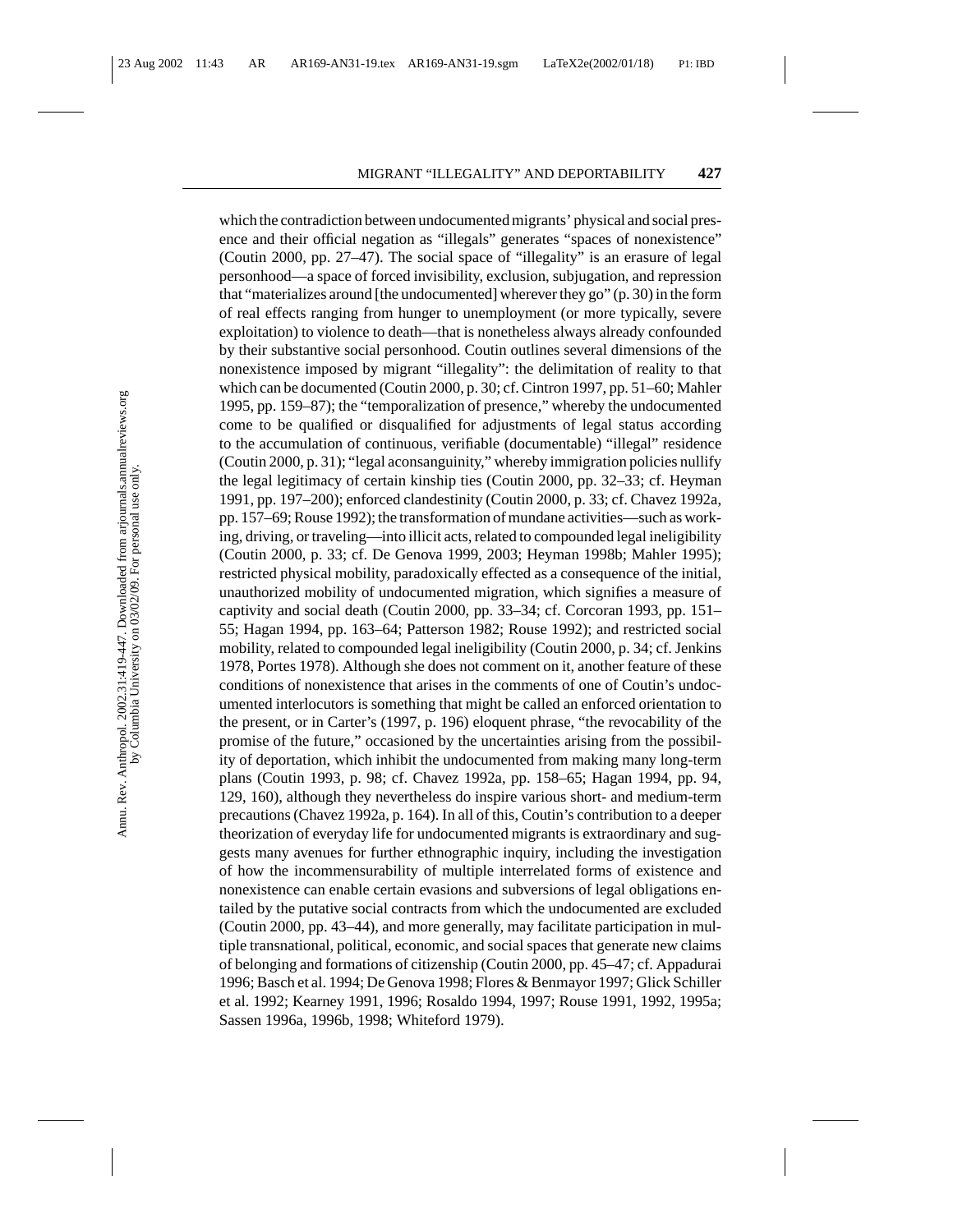which the contradiction between undocumented migrants' physical and social presence and their official negation as "illegals" generates "spaces of nonexistence" (Coutin 2000, pp. 27–47). The social space of "illegality" is an erasure of legal personhood—a space of forced invisibility, exclusion, subjugation, and repression that "materializes around [the undocumented] wherever they go" (p. 30) in the form of real effects ranging from hunger to unemployment (or more typically, severe exploitation) to violence to death—that is nonetheless always already confounded by their substantive social personhood. Coutin outlines several dimensions of the nonexistence imposed by migrant "illegality": the delimitation of reality to that which can be documented (Coutin 2000, p. 30; cf. Cintron 1997, pp. 51–60; Mahler 1995, pp. 159–87); the "temporalization of presence," whereby the undocumented come to be qualified or disqualified for adjustments of legal status according to the accumulation of continuous, verifiable (documentable) "illegal" residence (Coutin 2000, p. 31); "legal aconsanguinity," whereby immigration policies nullify the legal legitimacy of certain kinship ties (Coutin 2000, pp. 32–33; cf. Heyman 1991, pp. 197–200); enforced clandestinity (Coutin 2000, p. 33; cf. Chavez 1992a, pp. 157–69; Rouse 1992); the transformation of mundane activities—such as working, driving, or traveling—into illicit acts, related to compounded legal ineligibility (Coutin 2000, p. 33; cf. De Genova 1999, 2003; Heyman 1998b; Mahler 1995); restricted physical mobility, paradoxically effected as a consequence of the initial, unauthorized mobility of undocumented migration, which signifies a measure of captivity and social death (Coutin 2000, pp. 33–34; cf. Corcoran 1993, pp. 151– 55; Hagan 1994, pp. 163–64; Patterson 1982; Rouse 1992); and restricted social mobility, related to compounded legal ineligibility (Coutin 2000, p. 34; cf. Jenkins 1978, Portes 1978). Although she does not comment on it, another feature of these conditions of nonexistence that arises in the comments of one of Coutin's undocumented interlocutors is something that might be called an enforced orientation to the present, or in Carter's (1997, p. 196) eloquent phrase, "the revocability of the promise of the future," occasioned by the uncertainties arising from the possibility of deportation, which inhibit the undocumented from making many long-term plans (Coutin 1993, p. 98; cf. Chavez 1992a, pp. 158–65; Hagan 1994, pp. 94, 129, 160), although they nevertheless do inspire various short- and medium-term precautions (Chavez 1992a, p. 164). In all of this, Coutin's contribution to a deeper theorization of everyday life for undocumented migrants is extraordinary and suggests many avenues for further ethnographic inquiry, including the investigation of how the incommensurability of multiple interrelated forms of existence and nonexistence can enable certain evasions and subversions of legal obligations entailed by the putative social contracts from which the undocumented are excluded (Coutin 2000, pp. 43–44), and more generally, may facilitate participation in multiple transnational, political, economic, and social spaces that generate new claims of belonging and formations of citizenship (Coutin 2000, pp. 45–47; cf. Appadurai 1996; Basch et al. 1994; De Genova 1998; Flores & Benmayor 1997; Glick Schiller et al. 1992; Kearney 1991, 1996; Rosaldo 1994, 1997; Rouse 1991, 1992, 1995a; Sassen 1996a, 1996b, 1998; Whiteford 1979).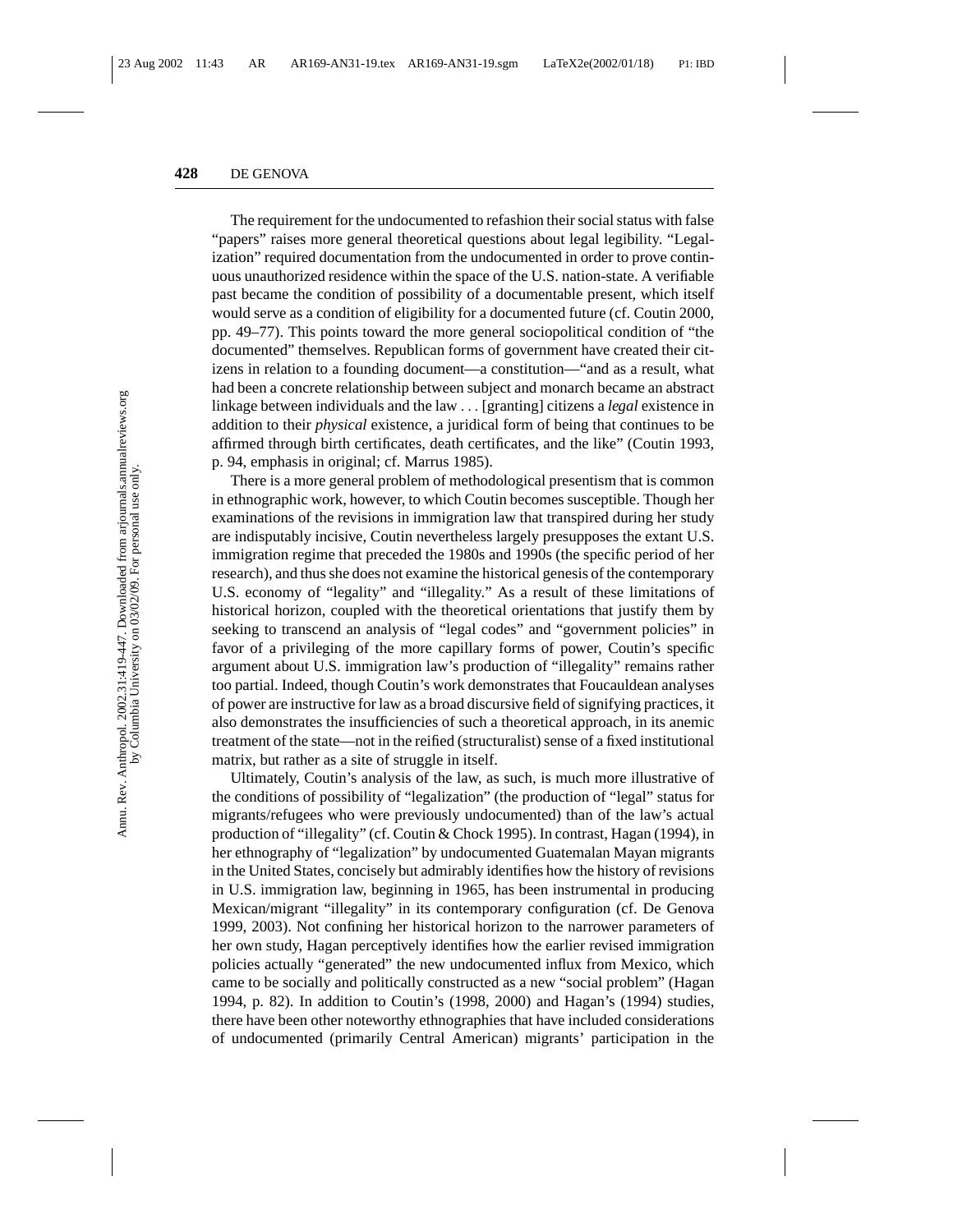The requirement for the undocumented to refashion their social status with false "papers" raises more general theoretical questions about legal legibility. "Legalization" required documentation from the undocumented in order to prove continuous unauthorized residence within the space of the U.S. nation-state. A verifiable past became the condition of possibility of a documentable present, which itself would serve as a condition of eligibility for a documented future (cf. Coutin 2000, pp. 49–77). This points toward the more general sociopolitical condition of "the documented" themselves. Republican forms of government have created their citizens in relation to a founding document—a constitution—"and as a result, what had been a concrete relationship between subject and monarch became an abstract linkage between individuals and the law ... [granting] citizens a *legal* existence in addition to their *physical* existence, a juridical form of being that continues to be affirmed through birth certificates, death certificates, and the like" (Coutin 1993, p. 94, emphasis in original; cf. Marrus 1985).

There is a more general problem of methodological presentism that is common in ethnographic work, however, to which Coutin becomes susceptible. Though her examinations of the revisions in immigration law that transpired during her study are indisputably incisive, Coutin nevertheless largely presupposes the extant U.S. immigration regime that preceded the 1980s and 1990s (the specific period of her research), and thus she does not examine the historical genesis of the contemporary U.S. economy of "legality" and "illegality." As a result of these limitations of historical horizon, coupled with the theoretical orientations that justify them by seeking to transcend an analysis of "legal codes" and "government policies" in favor of a privileging of the more capillary forms of power, Coutin's specific argument about U.S. immigration law's production of "illegality" remains rather too partial. Indeed, though Coutin's work demonstrates that Foucauldean analyses of power are instructive for law as a broad discursive field of signifying practices, it also demonstrates the insufficiencies of such a theoretical approach, in its anemic treatment of the state—not in the reified (structuralist) sense of a fixed institutional matrix, but rather as a site of struggle in itself.

Ultimately, Coutin's analysis of the law, as such, is much more illustrative of the conditions of possibility of "legalization" (the production of "legal" status for migrants/refugees who were previously undocumented) than of the law's actual production of "illegality" (cf. Coutin & Chock 1995). In contrast, Hagan (1994), in her ethnography of "legalization" by undocumented Guatemalan Mayan migrants in the United States, concisely but admirably identifies how the history of revisions in U.S. immigration law, beginning in 1965, has been instrumental in producing Mexican/migrant "illegality" in its contemporary configuration (cf. De Genova 1999, 2003). Not confining her historical horizon to the narrower parameters of her own study, Hagan perceptively identifies how the earlier revised immigration policies actually "generated" the new undocumented influx from Mexico, which came to be socially and politically constructed as a new "social problem" (Hagan 1994, p. 82). In addition to Coutin's (1998, 2000) and Hagan's (1994) studies, there have been other noteworthy ethnographies that have included considerations of undocumented (primarily Central American) migrants' participation in the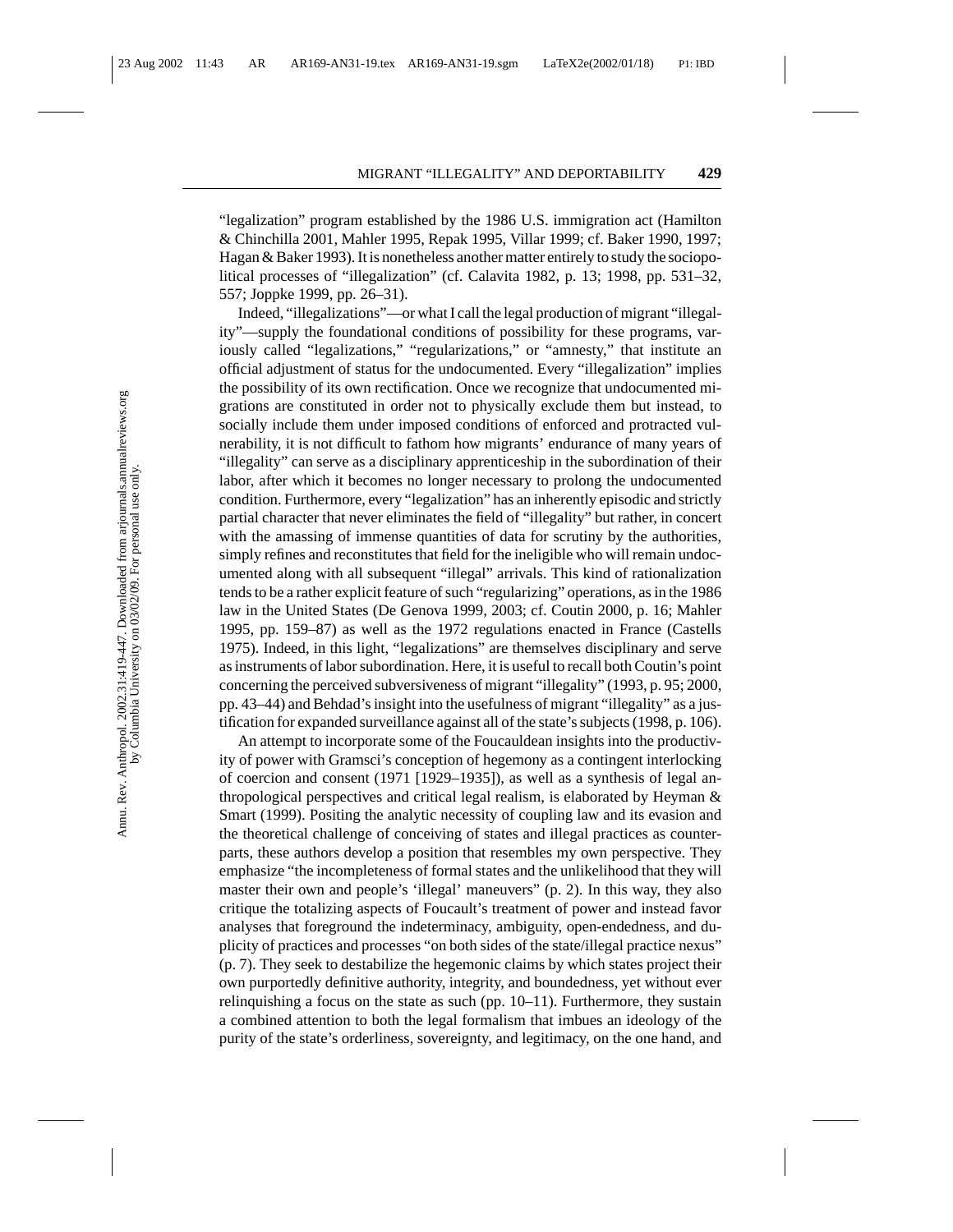"legalization" program established by the 1986 U.S. immigration act (Hamilton & Chinchilla 2001, Mahler 1995, Repak 1995, Villar 1999; cf. Baker 1990, 1997; Hagan & Baker 1993). It is nonetheless another matter entirely to study the sociopolitical processes of "illegalization" (cf. Calavita 1982, p. 13; 1998, pp. 531–32, 557; Joppke 1999, pp. 26–31).

Indeed, "illegalizations"—or what I call the legal production of migrant "illegality"—supply the foundational conditions of possibility for these programs, variously called "legalizations," "regularizations," or "amnesty," that institute an official adjustment of status for the undocumented. Every "illegalization" implies the possibility of its own rectification. Once we recognize that undocumented migrations are constituted in order not to physically exclude them but instead, to socially include them under imposed conditions of enforced and protracted vulnerability, it is not difficult to fathom how migrants' endurance of many years of "illegality" can serve as a disciplinary apprenticeship in the subordination of their labor, after which it becomes no longer necessary to prolong the undocumented condition. Furthermore, every "legalization" has an inherently episodic and strictly partial character that never eliminates the field of "illegality" but rather, in concert with the amassing of immense quantities of data for scrutiny by the authorities, simply refines and reconstitutes that field for the ineligible who will remain undocumented along with all subsequent "illegal" arrivals. This kind of rationalization tends to be a rather explicit feature of such "regularizing" operations, as in the 1986 law in the United States (De Genova 1999, 2003; cf. Coutin 2000, p. 16; Mahler 1995, pp. 159–87) as well as the 1972 regulations enacted in France (Castells 1975). Indeed, in this light, "legalizations" are themselves disciplinary and serve as instruments of labor subordination. Here, it is useful to recall both Coutin's point concerning the perceived subversiveness of migrant "illegality" (1993, p. 95; 2000, pp. 43–44) and Behdad's insight into the usefulness of migrant "illegality" as a justification for expanded surveillance against all of the state's subjects (1998, p. 106).

An attempt to incorporate some of the Foucauldean insights into the productivity of power with Gramsci's conception of hegemony as a contingent interlocking of coercion and consent (1971 [1929–1935]), as well as a synthesis of legal anthropological perspectives and critical legal realism, is elaborated by Heyman & Smart (1999). Positing the analytic necessity of coupling law and its evasion and the theoretical challenge of conceiving of states and illegal practices as counterparts, these authors develop a position that resembles my own perspective. They emphasize "the incompleteness of formal states and the unlikelihood that they will master their own and people's 'illegal' maneuvers" (p. 2). In this way, they also critique the totalizing aspects of Foucault's treatment of power and instead favor analyses that foreground the indeterminacy, ambiguity, open-endedness, and duplicity of practices and processes "on both sides of the state/illegal practice nexus" (p. 7). They seek to destabilize the hegemonic claims by which states project their own purportedly definitive authority, integrity, and boundedness, yet without ever relinquishing a focus on the state as such (pp. 10–11). Furthermore, they sustain a combined attention to both the legal formalism that imbues an ideology of the purity of the state's orderliness, sovereignty, and legitimacy, on the one hand, and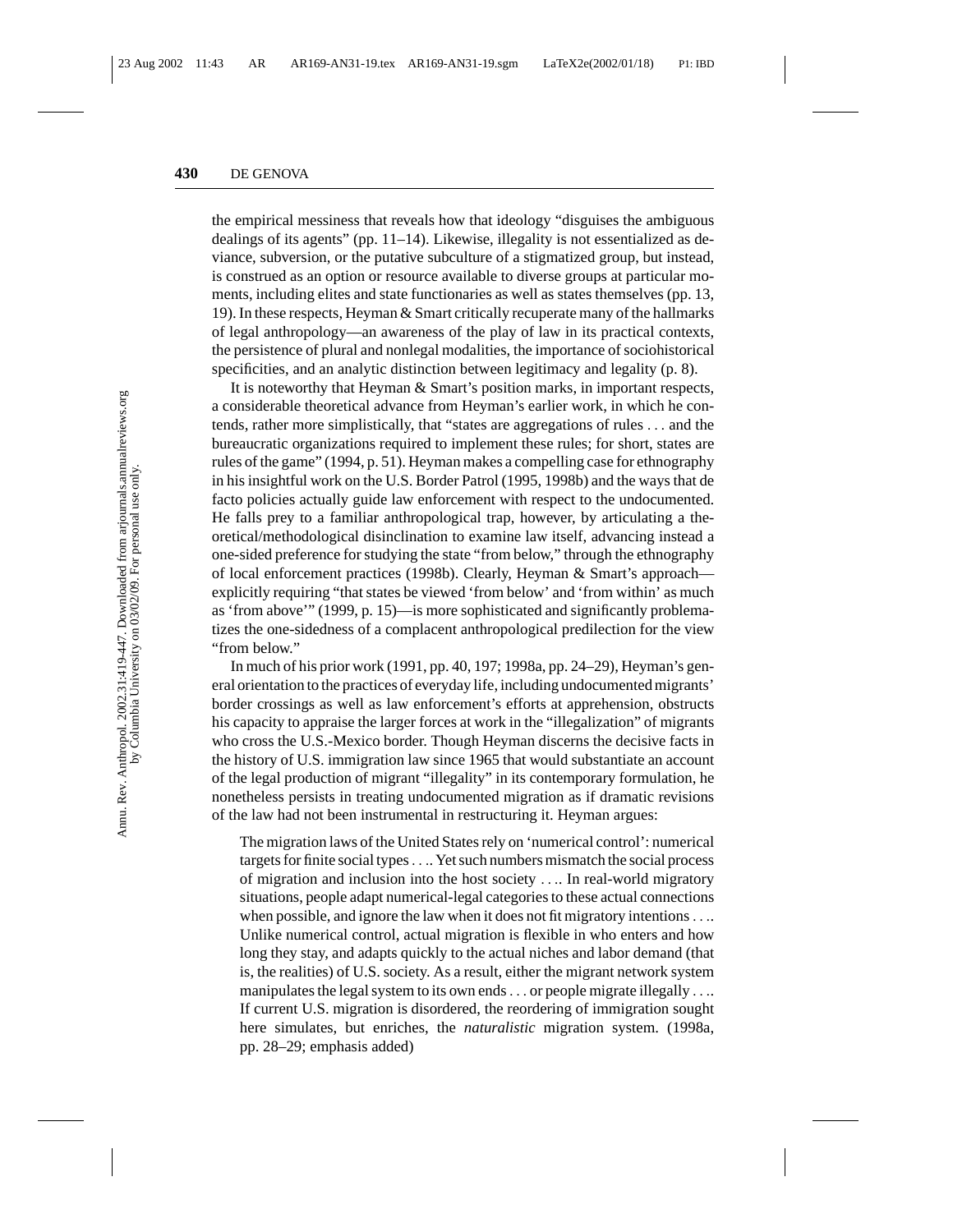the empirical messiness that reveals how that ideology "disguises the ambiguous dealings of its agents" (pp. 11–14). Likewise, illegality is not essentialized as deviance, subversion, or the putative subculture of a stigmatized group, but instead, is construed as an option or resource available to diverse groups at particular moments, including elites and state functionaries as well as states themselves (pp. 13, 19). In these respects, Heyman & Smart critically recuperate many of the hallmarks of legal anthropology—an awareness of the play of law in its practical contexts, the persistence of plural and nonlegal modalities, the importance of sociohistorical specificities, and an analytic distinction between legitimacy and legality (p. 8).

It is noteworthy that Heyman & Smart's position marks, in important respects, a considerable theoretical advance from Heyman's earlier work, in which he contends, rather more simplistically, that "states are aggregations of rules ... and the bureaucratic organizations required to implement these rules; for short, states are rules of the game" (1994, p. 51). Heyman makes a compelling case for ethnography in his insightful work on the U.S. Border Patrol (1995, 1998b) and the ways that de facto policies actually guide law enforcement with respect to the undocumented. He falls prey to a familiar anthropological trap, however, by articulating a theoretical/methodological disinclination to examine law itself, advancing instead a one-sided preference for studying the state "from below," through the ethnography of local enforcement practices (1998b). Clearly, Heyman & Smart's approach explicitly requiring "that states be viewed 'from below' and 'from within' as much as 'from above'" (1999, p. 15)—is more sophisticated and significantly problematizes the one-sidedness of a complacent anthropological predilection for the view "from below."

In much of his prior work (1991, pp. 40, 197; 1998a, pp. 24–29), Heyman's general orientation to the practices of everyday life, including undocumented migrants' border crossings as well as law enforcement's efforts at apprehension, obstructs his capacity to appraise the larger forces at work in the "illegalization" of migrants who cross the U.S.-Mexico border. Though Heyman discerns the decisive facts in the history of U.S. immigration law since 1965 that would substantiate an account of the legal production of migrant "illegality" in its contemporary formulation, he nonetheless persists in treating undocumented migration as if dramatic revisions of the law had not been instrumental in restructuring it. Heyman argues:

The migration laws of the United States rely on 'numerical control': numerical targets for finite social types.... Yet such numbers mismatch the social process of migration and inclusion into the host society .... In real-world migratory situations, people adapt numerical-legal categories to these actual connections when possible, and ignore the law when it does not fit migratory intentions.... Unlike numerical control, actual migration is flexible in who enters and how long they stay, and adapts quickly to the actual niches and labor demand (that is, the realities) of U.S. society. As a result, either the migrant network system manipulates the legal system to its own ends... or people migrate illegally .... If current U.S. migration is disordered, the reordering of immigration sought here simulates, but enriches, the *naturalistic* migration system. (1998a, pp. 28–29; emphasis added)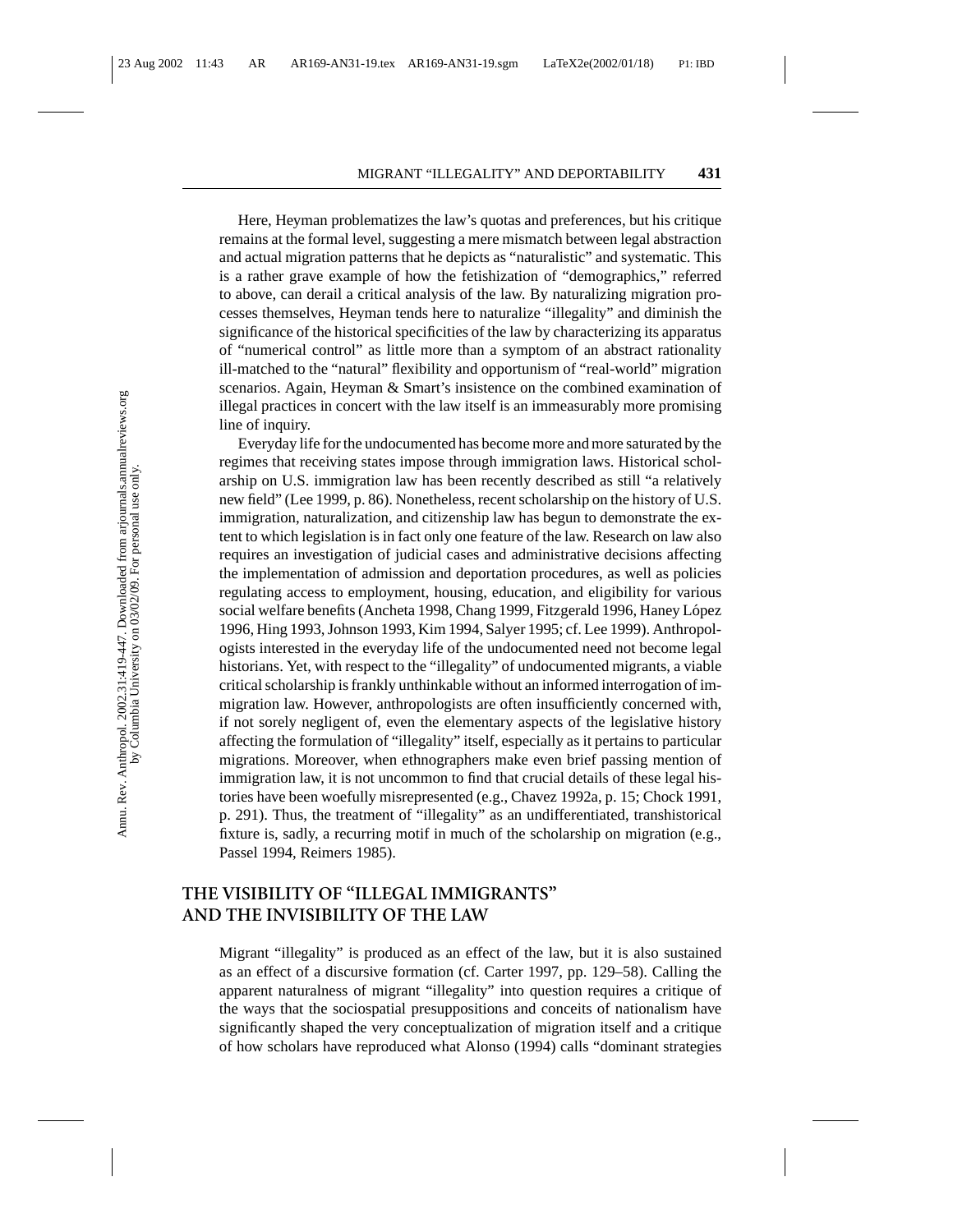Here, Heyman problematizes the law's quotas and preferences, but his critique remains at the formal level, suggesting a mere mismatch between legal abstraction and actual migration patterns that he depicts as "naturalistic" and systematic. This is a rather grave example of how the fetishization of "demographics," referred to above, can derail a critical analysis of the law. By naturalizing migration processes themselves, Heyman tends here to naturalize "illegality" and diminish the significance of the historical specificities of the law by characterizing its apparatus of "numerical control" as little more than a symptom of an abstract rationality ill-matched to the "natural" flexibility and opportunism of "real-world" migration scenarios. Again, Heyman & Smart's insistence on the combined examination of illegal practices in concert with the law itself is an immeasurably more promising line of inquiry.

Everyday life for the undocumented has become more and more saturated by the regimes that receiving states impose through immigration laws. Historical scholarship on U.S. immigration law has been recently described as still "a relatively new field" (Lee 1999, p. 86). Nonetheless, recent scholarship on the history of U.S. immigration, naturalization, and citizenship law has begun to demonstrate the extent to which legislation is in fact only one feature of the law. Research on law also requires an investigation of judicial cases and administrative decisions affecting the implementation of admission and deportation procedures, as well as policies regulating access to employment, housing, education, and eligibility for various social welfare benefits (Ancheta 1998, Chang 1999, Fitzgerald 1996, Haney López 1996, Hing 1993, Johnson 1993, Kim 1994, Salyer 1995; cf. Lee 1999). Anthropologists interested in the everyday life of the undocumented need not become legal historians. Yet, with respect to the "illegality" of undocumented migrants, a viable critical scholarship is frankly unthinkable without an informed interrogation of immigration law. However, anthropologists are often insufficiently concerned with, if not sorely negligent of, even the elementary aspects of the legislative history affecting the formulation of "illegality" itself, especially as it pertains to particular migrations. Moreover, when ethnographers make even brief passing mention of immigration law, it is not uncommon to find that crucial details of these legal histories have been woefully misrepresented (e.g., Chavez 1992a, p. 15; Chock 1991, p. 291). Thus, the treatment of "illegality" as an undifferentiated, transhistorical fixture is, sadly, a recurring motif in much of the scholarship on migration (e.g., Passel 1994, Reimers 1985).

## **THE VISIBILITY OF "ILLEGAL IMMIGRANTS" AND THE INVISIBILITY OF THE LAW**

Migrant "illegality" is produced as an effect of the law, but it is also sustained as an effect of a discursive formation (cf. Carter 1997, pp. 129–58). Calling the apparent naturalness of migrant "illegality" into question requires a critique of the ways that the sociospatial presuppositions and conceits of nationalism have significantly shaped the very conceptualization of migration itself and a critique of how scholars have reproduced what Alonso (1994) calls "dominant strategies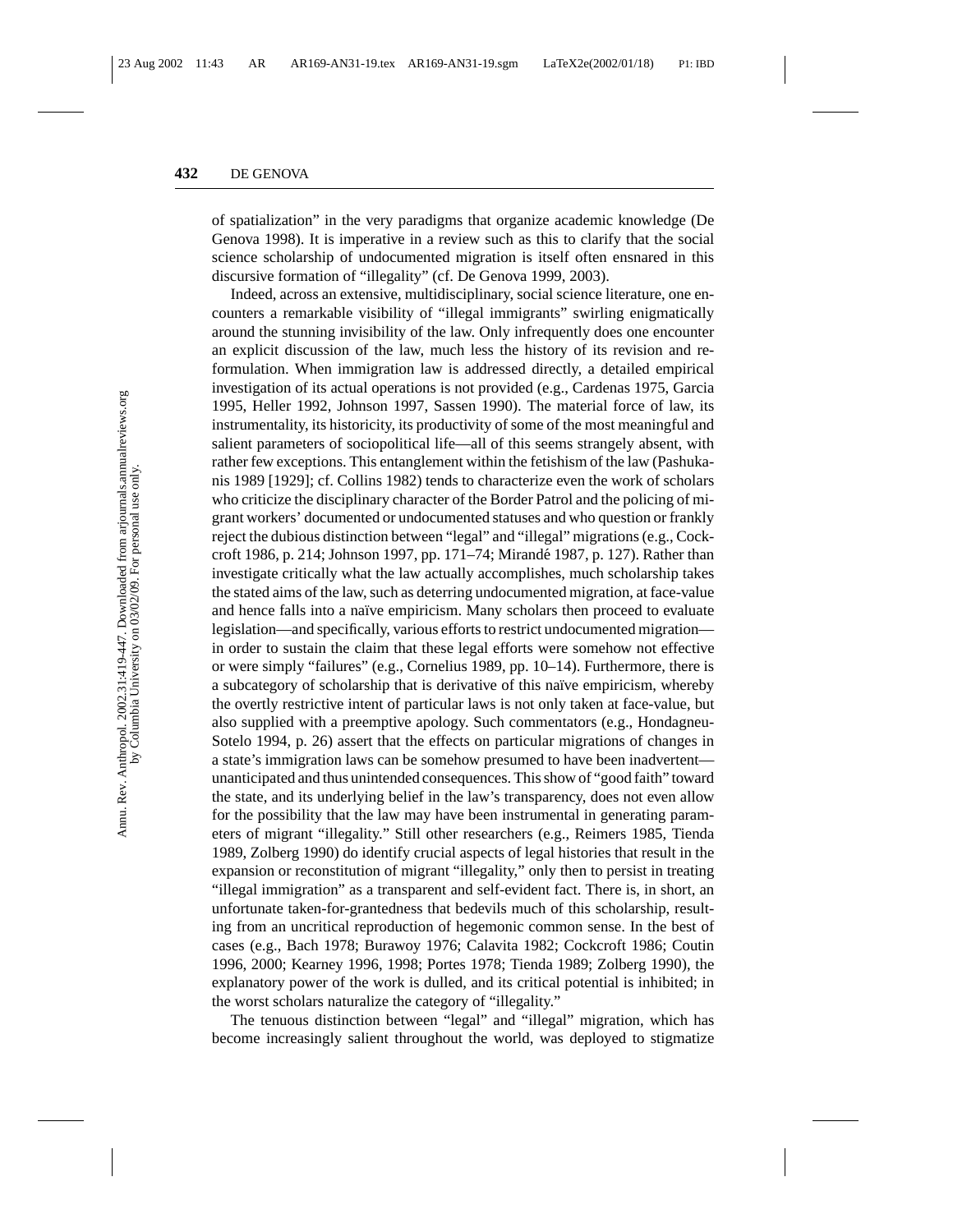of spatialization" in the very paradigms that organize academic knowledge (De Genova 1998). It is imperative in a review such as this to clarify that the social science scholarship of undocumented migration is itself often ensnared in this discursive formation of "illegality" (cf. De Genova 1999, 2003).

Indeed, across an extensive, multidisciplinary, social science literature, one encounters a remarkable visibility of "illegal immigrants" swirling enigmatically around the stunning invisibility of the law. Only infrequently does one encounter an explicit discussion of the law, much less the history of its revision and reformulation. When immigration law is addressed directly, a detailed empirical investigation of its actual operations is not provided (e.g., Cardenas 1975, Garcia 1995, Heller 1992, Johnson 1997, Sassen 1990). The material force of law, its instrumentality, its historicity, its productivity of some of the most meaningful and salient parameters of sociopolitical life—all of this seems strangely absent, with rather few exceptions. This entanglement within the fetishism of the law (Pashukanis 1989 [1929]; cf. Collins 1982) tends to characterize even the work of scholars who criticize the disciplinary character of the Border Patrol and the policing of migrant workers' documented or undocumented statuses and who question or frankly reject the dubious distinction between "legal" and "illegal" migrations (e.g., Cockcroft 1986, p. 214; Johnson 1997, pp. 171–74; Mirandé 1987, p. 127). Rather than investigate critically what the law actually accomplishes, much scholarship takes the stated aims of the law, such as deterring undocumented migration, at face-value and hence falls into a naïve empiricism. Many scholars then proceed to evaluate legislation—and specifically, various efforts to restrict undocumented migration in order to sustain the claim that these legal efforts were somehow not effective or were simply "failures" (e.g., Cornelius 1989, pp. 10–14). Furthermore, there is a subcategory of scholarship that is derivative of this naïve empiricism, whereby the overtly restrictive intent of particular laws is not only taken at face-value, but also supplied with a preemptive apology. Such commentators (e.g., Hondagneu-Sotelo 1994, p. 26) assert that the effects on particular migrations of changes in a state's immigration laws can be somehow presumed to have been inadvertent unanticipated and thus unintended consequences. This show of "good faith" toward the state, and its underlying belief in the law's transparency, does not even allow for the possibility that the law may have been instrumental in generating parameters of migrant "illegality." Still other researchers (e.g., Reimers 1985, Tienda 1989, Zolberg 1990) do identify crucial aspects of legal histories that result in the expansion or reconstitution of migrant "illegality," only then to persist in treating "illegal immigration" as a transparent and self-evident fact. There is, in short, an unfortunate taken-for-grantedness that bedevils much of this scholarship, resulting from an uncritical reproduction of hegemonic common sense. In the best of cases (e.g., Bach 1978; Burawoy 1976; Calavita 1982; Cockcroft 1986; Coutin 1996, 2000; Kearney 1996, 1998; Portes 1978; Tienda 1989; Zolberg 1990), the explanatory power of the work is dulled, and its critical potential is inhibited; in the worst scholars naturalize the category of "illegality."

The tenuous distinction between "legal" and "illegal" migration, which has become increasingly salient throughout the world, was deployed to stigmatize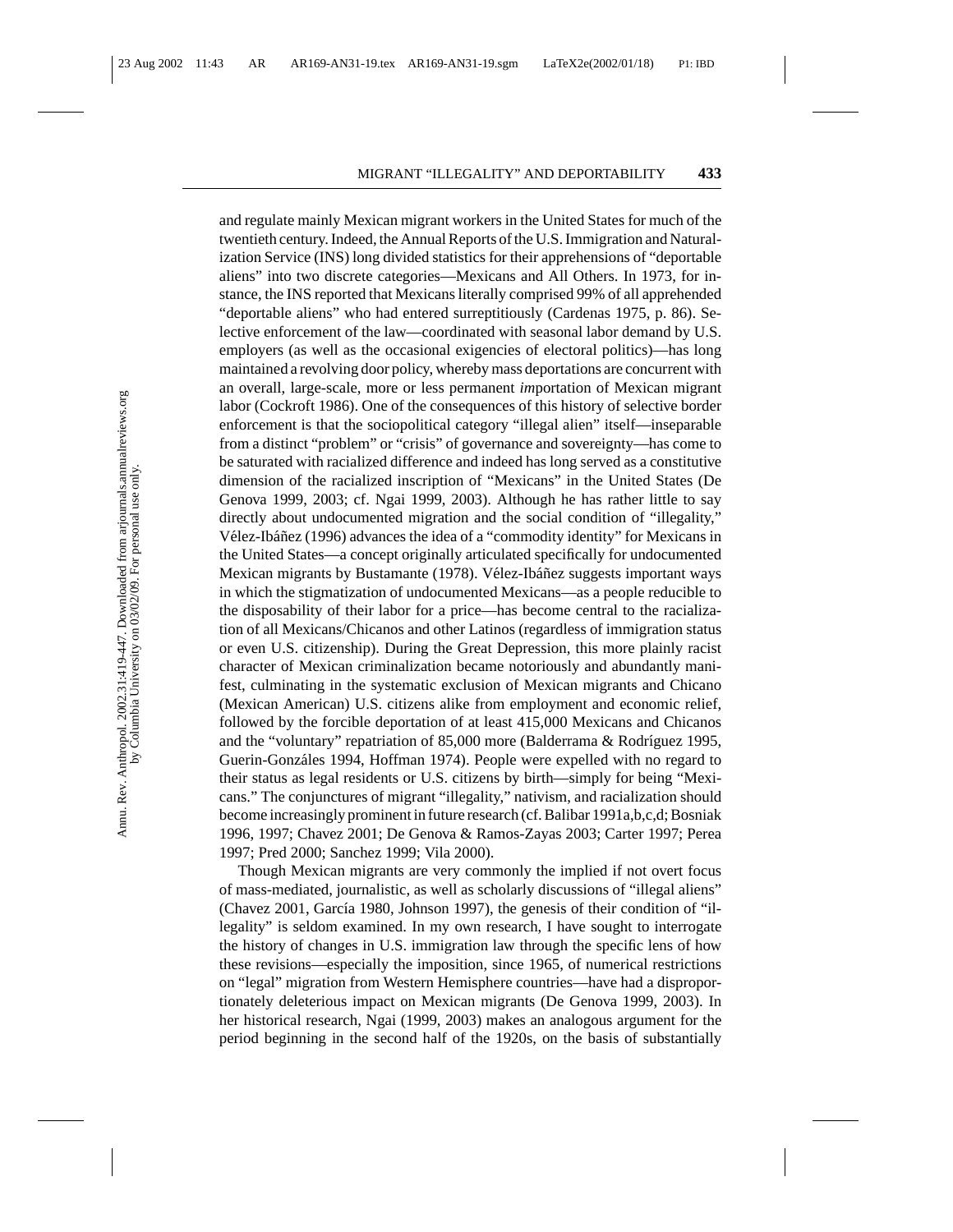and regulate mainly Mexican migrant workers in the United States for much of the twentieth century. Indeed, the Annual Reports of the U.S. Immigration and Naturalization Service (INS) long divided statistics for their apprehensions of "deportable aliens" into two discrete categories—Mexicans and All Others. In 1973, for instance, the INS reported that Mexicans literally comprised 99% of all apprehended "deportable aliens" who had entered surreptitiously (Cardenas 1975, p. 86). Selective enforcement of the law—coordinated with seasonal labor demand by U.S. employers (as well as the occasional exigencies of electoral politics)—has long maintained a revolving door policy, whereby mass deportations are concurrent with an overall, large-scale, more or less permanent *im*portation of Mexican migrant labor (Cockroft 1986). One of the consequences of this history of selective border enforcement is that the sociopolitical category "illegal alien" itself—inseparable from a distinct "problem" or "crisis" of governance and sovereignty—has come to be saturated with racialized difference and indeed has long served as a constitutive dimension of the racialized inscription of "Mexicans" in the United States (De Genova 1999, 2003; cf. Ngai 1999, 2003). Although he has rather little to say directly about undocumented migration and the social condition of "illegality," Vélez-Ibáñez (1996) advances the idea of a "commodity identity" for Mexicans in the United States—a concept originally articulated specifically for undocumented Mexican migrants by Bustamante (1978). Vélez-Ibáñez suggests important ways in which the stigmatization of undocumented Mexicans—as a people reducible to the disposability of their labor for a price—has become central to the racialization of all Mexicans/Chicanos and other Latinos (regardless of immigration status or even U.S. citizenship). During the Great Depression, this more plainly racist character of Mexican criminalization became notoriously and abundantly manifest, culminating in the systematic exclusion of Mexican migrants and Chicano (Mexican American) U.S. citizens alike from employment and economic relief, followed by the forcible deportation of at least 415,000 Mexicans and Chicanos and the "voluntary" repatriation of  $85,000$  more (Balderrama & Rodríguez 1995, Guerin-Gonzáles 1994, Hoffman 1974). People were expelled with no regard to their status as legal residents or U.S. citizens by birth—simply for being "Mexicans." The conjunctures of migrant "illegality," nativism, and racialization should become increasingly prominent in future research (cf. Balibar 1991a,b,c,d; Bosniak 1996, 1997; Chavez 2001; De Genova & Ramos-Zayas 2003; Carter 1997; Perea 1997; Pred 2000; Sanchez 1999; Vila 2000).

Though Mexican migrants are very commonly the implied if not overt focus of mass-mediated, journalistic, as well as scholarly discussions of "illegal aliens" (Chavez 2001, García 1980, Johnson 1997), the genesis of their condition of "illegality" is seldom examined. In my own research, I have sought to interrogate the history of changes in U.S. immigration law through the specific lens of how these revisions—especially the imposition, since 1965, of numerical restrictions on "legal" migration from Western Hemisphere countries—have had a disproportionately deleterious impact on Mexican migrants (De Genova 1999, 2003). In her historical research, Ngai (1999, 2003) makes an analogous argument for the period beginning in the second half of the 1920s, on the basis of substantially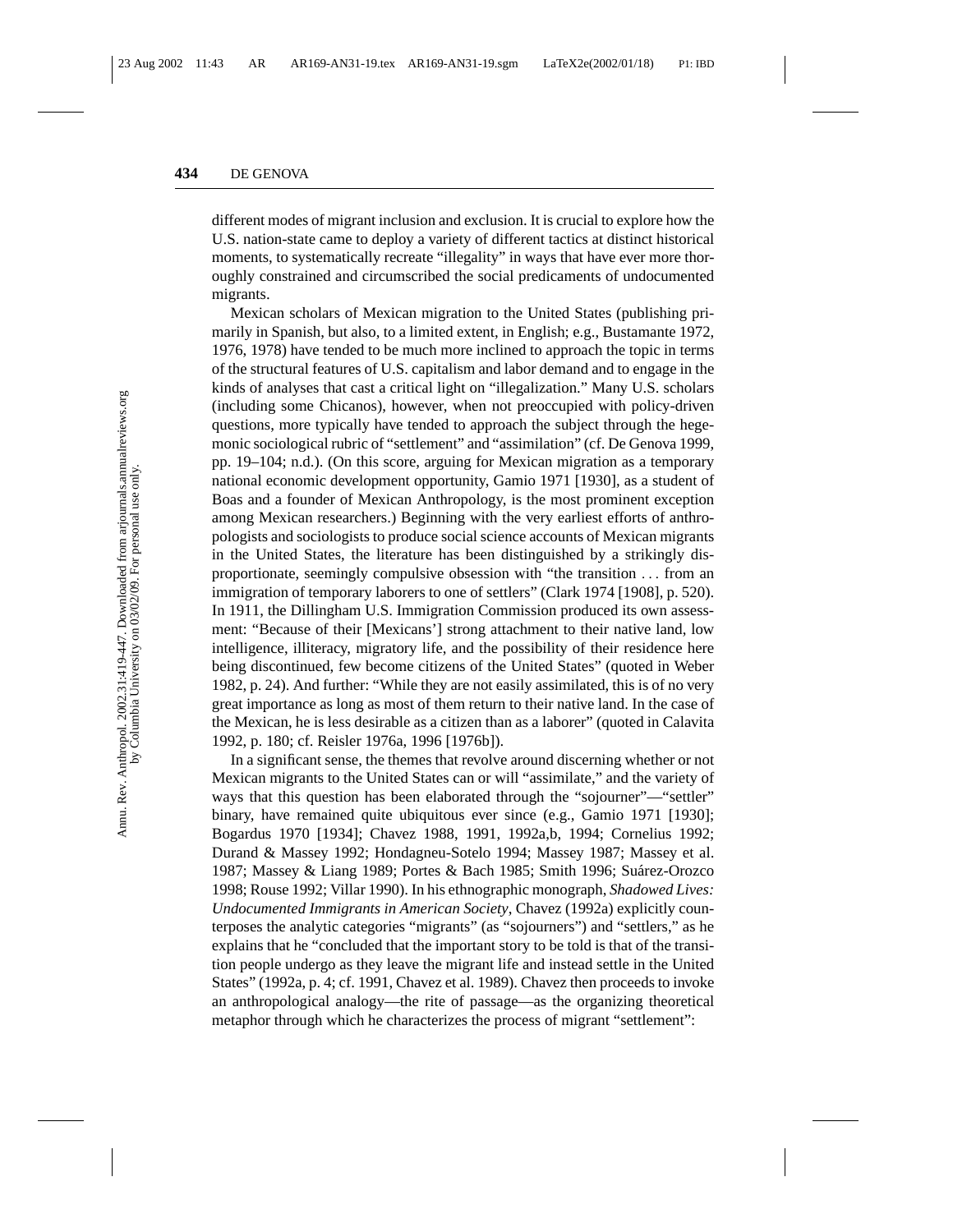different modes of migrant inclusion and exclusion. It is crucial to explore how the U.S. nation-state came to deploy a variety of different tactics at distinct historical moments, to systematically recreate "illegality" in ways that have ever more thoroughly constrained and circumscribed the social predicaments of undocumented migrants.

Mexican scholars of Mexican migration to the United States (publishing primarily in Spanish, but also, to a limited extent, in English; e.g., Bustamante 1972, 1976, 1978) have tended to be much more inclined to approach the topic in terms of the structural features of U.S. capitalism and labor demand and to engage in the kinds of analyses that cast a critical light on "illegalization." Many U.S. scholars (including some Chicanos), however, when not preoccupied with policy-driven questions, more typically have tended to approach the subject through the hegemonic sociological rubric of "settlement" and "assimilation" (cf. De Genova 1999, pp. 19–104; n.d.). (On this score, arguing for Mexican migration as a temporary national economic development opportunity, Gamio 1971 [1930], as a student of Boas and a founder of Mexican Anthropology, is the most prominent exception among Mexican researchers.) Beginning with the very earliest efforts of anthropologists and sociologists to produce social science accounts of Mexican migrants in the United States, the literature has been distinguished by a strikingly disproportionate, seemingly compulsive obsession with "the transition ... from an immigration of temporary laborers to one of settlers" (Clark 1974 [1908], p. 520). In 1911, the Dillingham U.S. Immigration Commission produced its own assessment: "Because of their [Mexicans'] strong attachment to their native land, low intelligence, illiteracy, migratory life, and the possibility of their residence here being discontinued, few become citizens of the United States" (quoted in Weber 1982, p. 24). And further: "While they are not easily assimilated, this is of no very great importance as long as most of them return to their native land. In the case of the Mexican, he is less desirable as a citizen than as a laborer" (quoted in Calavita 1992, p. 180; cf. Reisler 1976a, 1996 [1976b]).

In a significant sense, the themes that revolve around discerning whether or not Mexican migrants to the United States can or will "assimilate," and the variety of ways that this question has been elaborated through the "sojourner"—"settler" binary, have remained quite ubiquitous ever since (e.g., Gamio 1971 [1930]; Bogardus 1970 [1934]; Chavez 1988, 1991, 1992a,b, 1994; Cornelius 1992; Durand & Massey 1992; Hondagneu-Sotelo 1994; Massey 1987; Massey et al. 1987; Massey & Liang 1989; Portes & Bach 1985; Smith 1996; Suárez-Orozco 1998; Rouse 1992; Villar 1990). In his ethnographic monograph, *Shadowed Lives: Undocumented Immigrants in American Society*, Chavez (1992a) explicitly counterposes the analytic categories "migrants" (as "sojourners") and "settlers," as he explains that he "concluded that the important story to be told is that of the transition people undergo as they leave the migrant life and instead settle in the United States" (1992a, p. 4; cf. 1991, Chavez et al. 1989). Chavez then proceeds to invoke an anthropological analogy—the rite of passage—as the organizing theoretical metaphor through which he characterizes the process of migrant "settlement":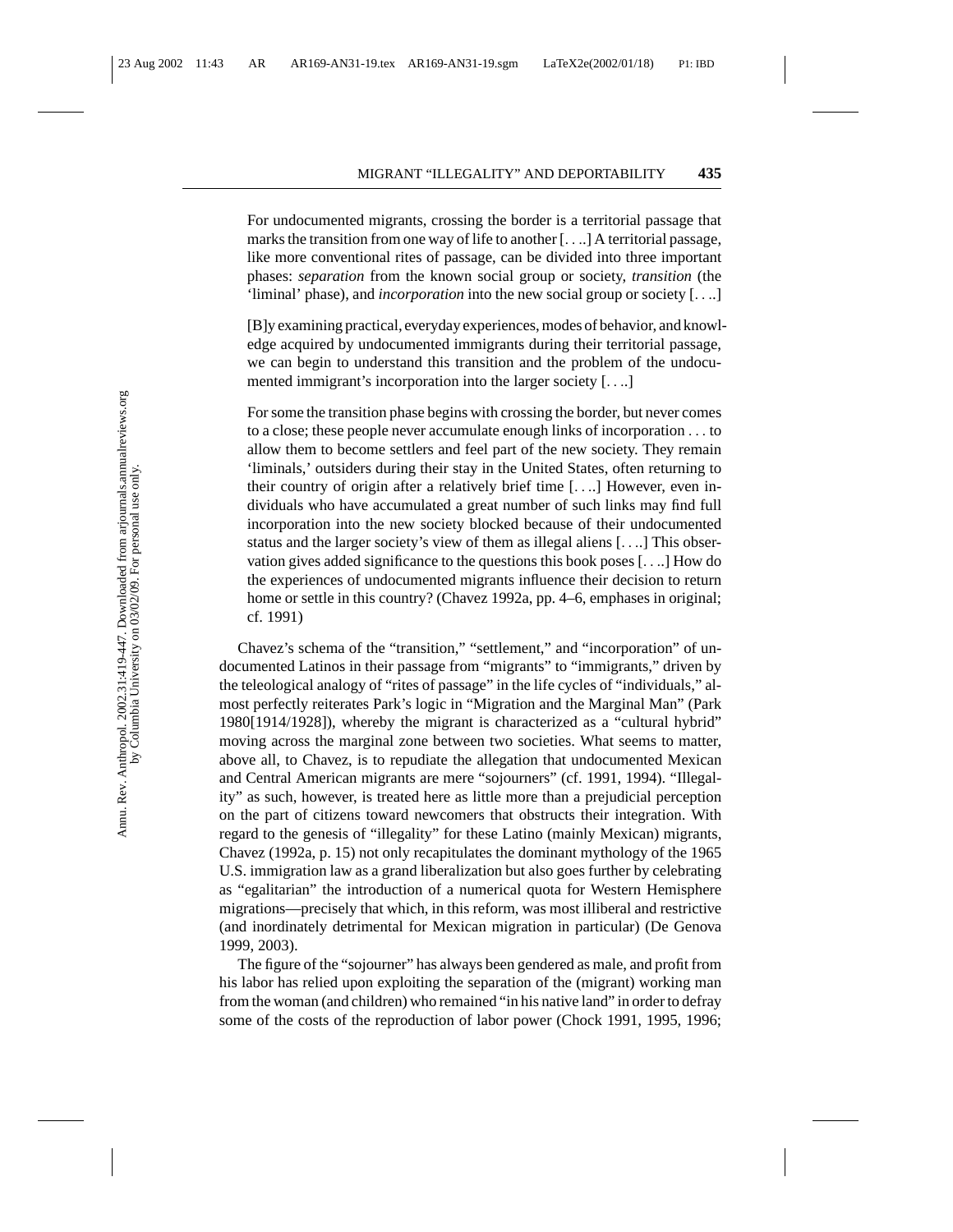For undocumented migrants, crossing the border is a territorial passage that marks the transition from one way of life to another [....] A territorial passage, like more conventional rites of passage, can be divided into three important phases: *separation* from the known social group or society, *transition* (the 'liminal' phase), and *incorporation* into the new social group or society [....]

[B]y examining practical, everyday experiences, modes of behavior, and knowledge acquired by undocumented immigrants during their territorial passage, we can begin to understand this transition and the problem of the undocumented immigrant's incorporation into the larger society [....]

For some the transition phase begins with crossing the border, but never comes to a close; these people never accumulate enough links of incorporation ... to allow them to become settlers and feel part of the new society. They remain 'liminals,' outsiders during their stay in the United States, often returning to their country of origin after a relatively brief time [....] However, even individuals who have accumulated a great number of such links may find full incorporation into the new society blocked because of their undocumented status and the larger society's view of them as illegal aliens [....] This observation gives added significance to the questions this book poses [....] How do the experiences of undocumented migrants influence their decision to return home or settle in this country? (Chavez 1992a, pp. 4–6, emphases in original; cf. 1991)

Chavez's schema of the "transition," "settlement," and "incorporation" of undocumented Latinos in their passage from "migrants" to "immigrants," driven by the teleological analogy of "rites of passage" in the life cycles of "individuals," almost perfectly reiterates Park's logic in "Migration and the Marginal Man" (Park 1980[1914/1928]), whereby the migrant is characterized as a "cultural hybrid" moving across the marginal zone between two societies. What seems to matter, above all, to Chavez, is to repudiate the allegation that undocumented Mexican and Central American migrants are mere "sojourners" (cf. 1991, 1994). "Illegality" as such, however, is treated here as little more than a prejudicial perception on the part of citizens toward newcomers that obstructs their integration. With regard to the genesis of "illegality" for these Latino (mainly Mexican) migrants, Chavez (1992a, p. 15) not only recapitulates the dominant mythology of the 1965 U.S. immigration law as a grand liberalization but also goes further by celebrating as "egalitarian" the introduction of a numerical quota for Western Hemisphere migrations—precisely that which, in this reform, was most illiberal and restrictive (and inordinately detrimental for Mexican migration in particular) (De Genova 1999, 2003).

The figure of the "sojourner" has always been gendered as male, and profit from his labor has relied upon exploiting the separation of the (migrant) working man from the woman (and children) who remained "in his native land" in order to defray some of the costs of the reproduction of labor power (Chock 1991, 1995, 1996;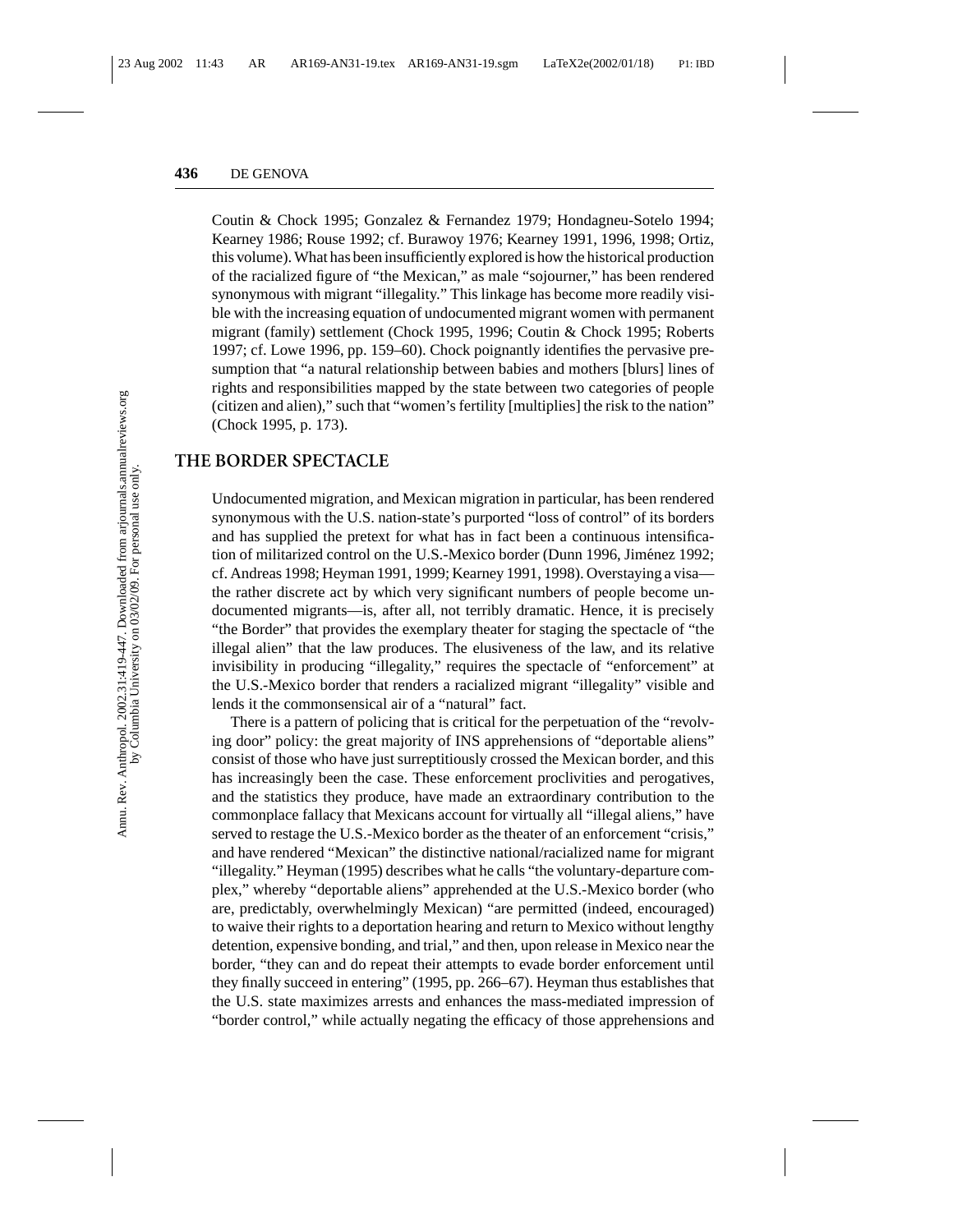Coutin & Chock 1995; Gonzalez & Fernandez 1979; Hondagneu-Sotelo 1994; Kearney 1986; Rouse 1992; cf. Burawoy 1976; Kearney 1991, 1996, 1998; Ortiz, this volume). What has been insufficiently explored is how the historical production of the racialized figure of "the Mexican," as male "sojourner," has been rendered synonymous with migrant "illegality." This linkage has become more readily visible with the increasing equation of undocumented migrant women with permanent migrant (family) settlement (Chock 1995, 1996; Coutin & Chock 1995; Roberts 1997; cf. Lowe 1996, pp. 159–60). Chock poignantly identifies the pervasive presumption that "a natural relationship between babies and mothers [blurs] lines of rights and responsibilities mapped by the state between two categories of people (citizen and alien)," such that "women's fertility [multiplies] the risk to the nation" (Chock 1995, p. 173).

#### **THE BORDER SPECTACLE**

Undocumented migration, and Mexican migration in particular, has been rendered synonymous with the U.S. nation-state's purported "loss of control" of its borders and has supplied the pretext for what has in fact been a continuous intensification of militarized control on the U.S.-Mexico border (Dunn 1996, Jiménez 1992; cf. Andreas 1998; Heyman 1991, 1999; Kearney 1991, 1998). Overstaying a visa the rather discrete act by which very significant numbers of people become undocumented migrants—is, after all, not terribly dramatic. Hence, it is precisely "the Border" that provides the exemplary theater for staging the spectacle of "the illegal alien" that the law produces. The elusiveness of the law, and its relative invisibility in producing "illegality," requires the spectacle of "enforcement" at the U.S.-Mexico border that renders a racialized migrant "illegality" visible and lends it the commonsensical air of a "natural" fact.

There is a pattern of policing that is critical for the perpetuation of the "revolving door" policy: the great majority of INS apprehensions of "deportable aliens" consist of those who have just surreptitiously crossed the Mexican border, and this has increasingly been the case. These enforcement proclivities and perogatives, and the statistics they produce, have made an extraordinary contribution to the commonplace fallacy that Mexicans account for virtually all "illegal aliens," have served to restage the U.S.-Mexico border as the theater of an enforcement "crisis," and have rendered "Mexican" the distinctive national/racialized name for migrant "illegality." Heyman (1995) describes what he calls "the voluntary-departure complex," whereby "deportable aliens" apprehended at the U.S.-Mexico border (who are, predictably, overwhelmingly Mexican) "are permitted (indeed, encouraged) to waive their rights to a deportation hearing and return to Mexico without lengthy detention, expensive bonding, and trial," and then, upon release in Mexico near the border, "they can and do repeat their attempts to evade border enforcement until they finally succeed in entering" (1995, pp. 266–67). Heyman thus establishes that the U.S. state maximizes arrests and enhances the mass-mediated impression of "border control," while actually negating the efficacy of those apprehensions and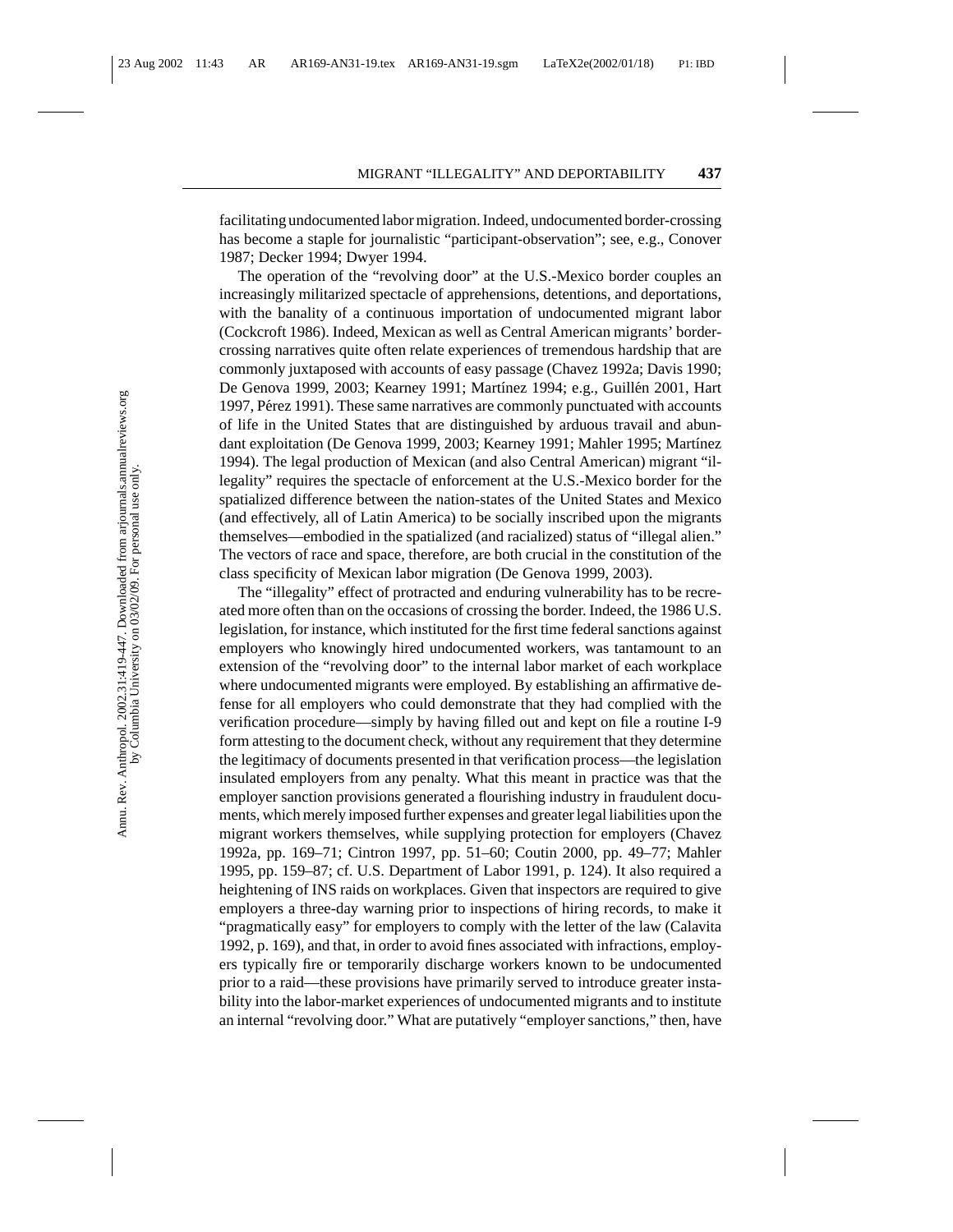facilitating undocumented labor migration. Indeed, undocumented border-crossing has become a staple for journalistic "participant-observation"; see, e.g., Conover 1987; Decker 1994; Dwyer 1994.

The operation of the "revolving door" at the U.S.-Mexico border couples an increasingly militarized spectacle of apprehensions, detentions, and deportations, with the banality of a continuous importation of undocumented migrant labor (Cockcroft 1986). Indeed, Mexican as well as Central American migrants' bordercrossing narratives quite often relate experiences of tremendous hardship that are commonly juxtaposed with accounts of easy passage (Chavez 1992a; Davis 1990; De Genova 1999, 2003; Kearney 1991; Martínez 1994; e.g., Guillén 2001, Hart 1997, Pérez 1991). These same narratives are commonly punctuated with accounts of life in the United States that are distinguished by arduous travail and abundant exploitation (De Genova 1999, 2003; Kearney 1991; Mahler 1995; Martínez 1994). The legal production of Mexican (and also Central American) migrant "illegality" requires the spectacle of enforcement at the U.S.-Mexico border for the spatialized difference between the nation-states of the United States and Mexico (and effectively, all of Latin America) to be socially inscribed upon the migrants themselves—embodied in the spatialized (and racialized) status of "illegal alien." The vectors of race and space, therefore, are both crucial in the constitution of the class specificity of Mexican labor migration (De Genova 1999, 2003).

The "illegality" effect of protracted and enduring vulnerability has to be recreated more often than on the occasions of crossing the border. Indeed, the 1986 U.S. legislation, for instance, which instituted for the first time federal sanctions against employers who knowingly hired undocumented workers, was tantamount to an extension of the "revolving door" to the internal labor market of each workplace where undocumented migrants were employed. By establishing an affirmative defense for all employers who could demonstrate that they had complied with the verification procedure—simply by having filled out and kept on file a routine I-9 form attesting to the document check, without any requirement that they determine the legitimacy of documents presented in that verification process—the legislation insulated employers from any penalty. What this meant in practice was that the employer sanction provisions generated a flourishing industry in fraudulent documents, which merely imposed further expenses and greater legal liabilities upon the migrant workers themselves, while supplying protection for employers (Chavez 1992a, pp. 169–71; Cintron 1997, pp. 51–60; Coutin 2000, pp. 49–77; Mahler 1995, pp. 159–87; cf. U.S. Department of Labor 1991, p. 124). It also required a heightening of INS raids on workplaces. Given that inspectors are required to give employers a three-day warning prior to inspections of hiring records, to make it "pragmatically easy" for employers to comply with the letter of the law (Calavita 1992, p. 169), and that, in order to avoid fines associated with infractions, employers typically fire or temporarily discharge workers known to be undocumented prior to a raid—these provisions have primarily served to introduce greater instability into the labor-market experiences of undocumented migrants and to institute an internal "revolving door." What are putatively "employer sanctions," then, have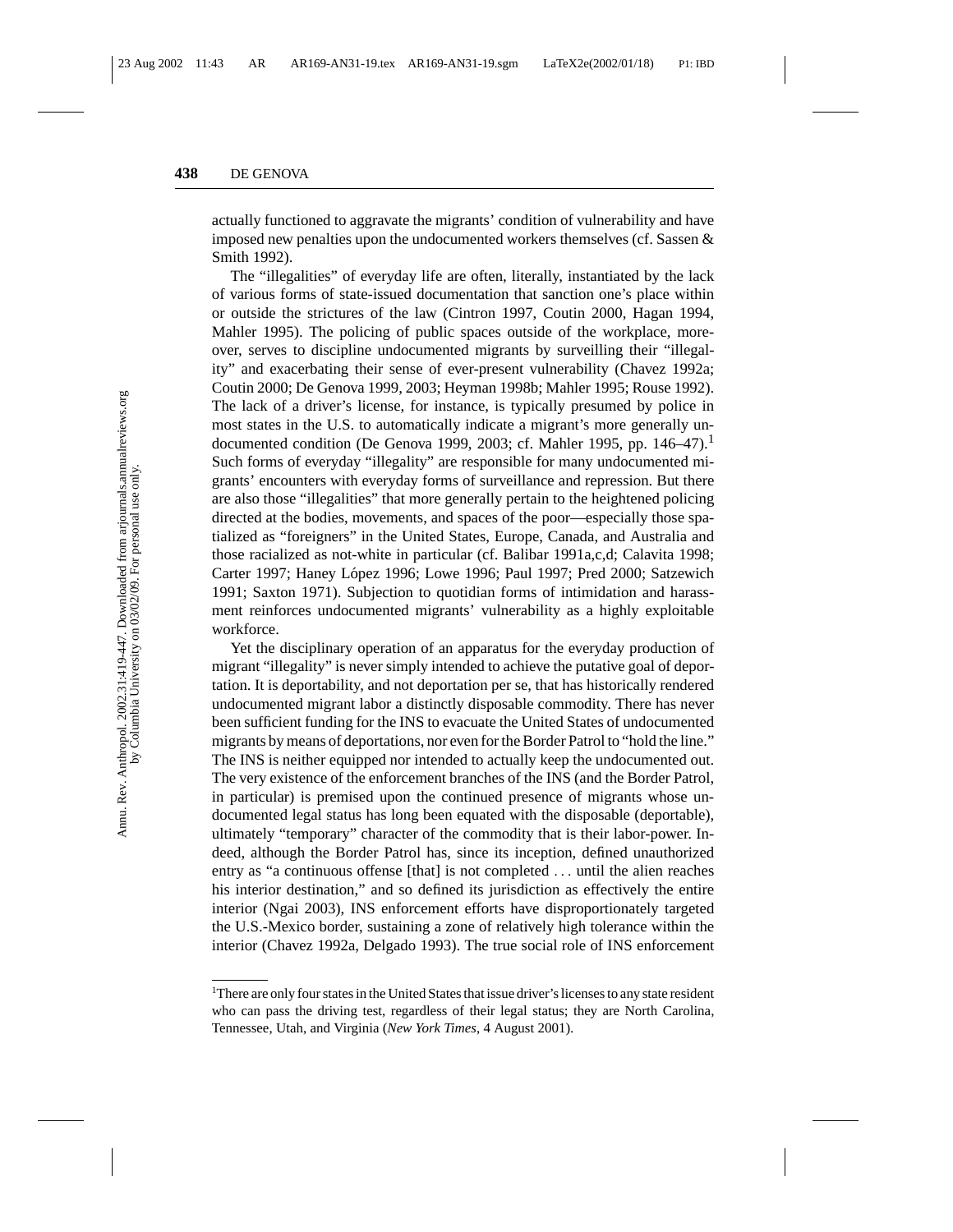actually functioned to aggravate the migrants' condition of vulnerability and have imposed new penalties upon the undocumented workers themselves (cf. Sassen & Smith 1992).

The "illegalities" of everyday life are often, literally, instantiated by the lack of various forms of state-issued documentation that sanction one's place within or outside the strictures of the law (Cintron 1997, Coutin 2000, Hagan 1994, Mahler 1995). The policing of public spaces outside of the workplace, moreover, serves to discipline undocumented migrants by surveilling their "illegality" and exacerbating their sense of ever-present vulnerability (Chavez 1992a; Coutin 2000; De Genova 1999, 2003; Heyman 1998b; Mahler 1995; Rouse 1992). The lack of a driver's license, for instance, is typically presumed by police in most states in the U.S. to automatically indicate a migrant's more generally undocumented condition (De Genova 1999, 2003; cf. Mahler 1995, pp. 146-47).<sup>1</sup> Such forms of everyday "illegality" are responsible for many undocumented migrants' encounters with everyday forms of surveillance and repression. But there are also those "illegalities" that more generally pertain to the heightened policing directed at the bodies, movements, and spaces of the poor—especially those spatialized as "foreigners" in the United States, Europe, Canada, and Australia and those racialized as not-white in particular (cf. Balibar 1991a,c,d; Calavita 1998; Carter 1997; Haney López 1996; Lowe 1996; Paul 1997; Pred 2000; Satzewich 1991; Saxton 1971). Subjection to quotidian forms of intimidation and harassment reinforces undocumented migrants' vulnerability as a highly exploitable workforce.

Yet the disciplinary operation of an apparatus for the everyday production of migrant "illegality" is never simply intended to achieve the putative goal of deportation. It is deportability, and not deportation per se, that has historically rendered undocumented migrant labor a distinctly disposable commodity. There has never been sufficient funding for the INS to evacuate the United States of undocumented migrants by means of deportations, nor even for the Border Patrol to "hold the line." The INS is neither equipped nor intended to actually keep the undocumented out. The very existence of the enforcement branches of the INS (and the Border Patrol, in particular) is premised upon the continued presence of migrants whose undocumented legal status has long been equated with the disposable (deportable), ultimately "temporary" character of the commodity that is their labor-power. Indeed, although the Border Patrol has, since its inception, defined unauthorized entry as "a continuous offense [that] is not completed ... until the alien reaches his interior destination," and so defined its jurisdiction as effectively the entire interior (Ngai 2003), INS enforcement efforts have disproportionately targeted the U.S.-Mexico border, sustaining a zone of relatively high tolerance within the interior (Chavez 1992a, Delgado 1993). The true social role of INS enforcement

<sup>&</sup>lt;sup>1</sup>There are only four states in the United States that issue driver's licenses to any state resident who can pass the driving test, regardless of their legal status; they are North Carolina, Tennessee, Utah, and Virginia (*New York Times*, 4 August 2001).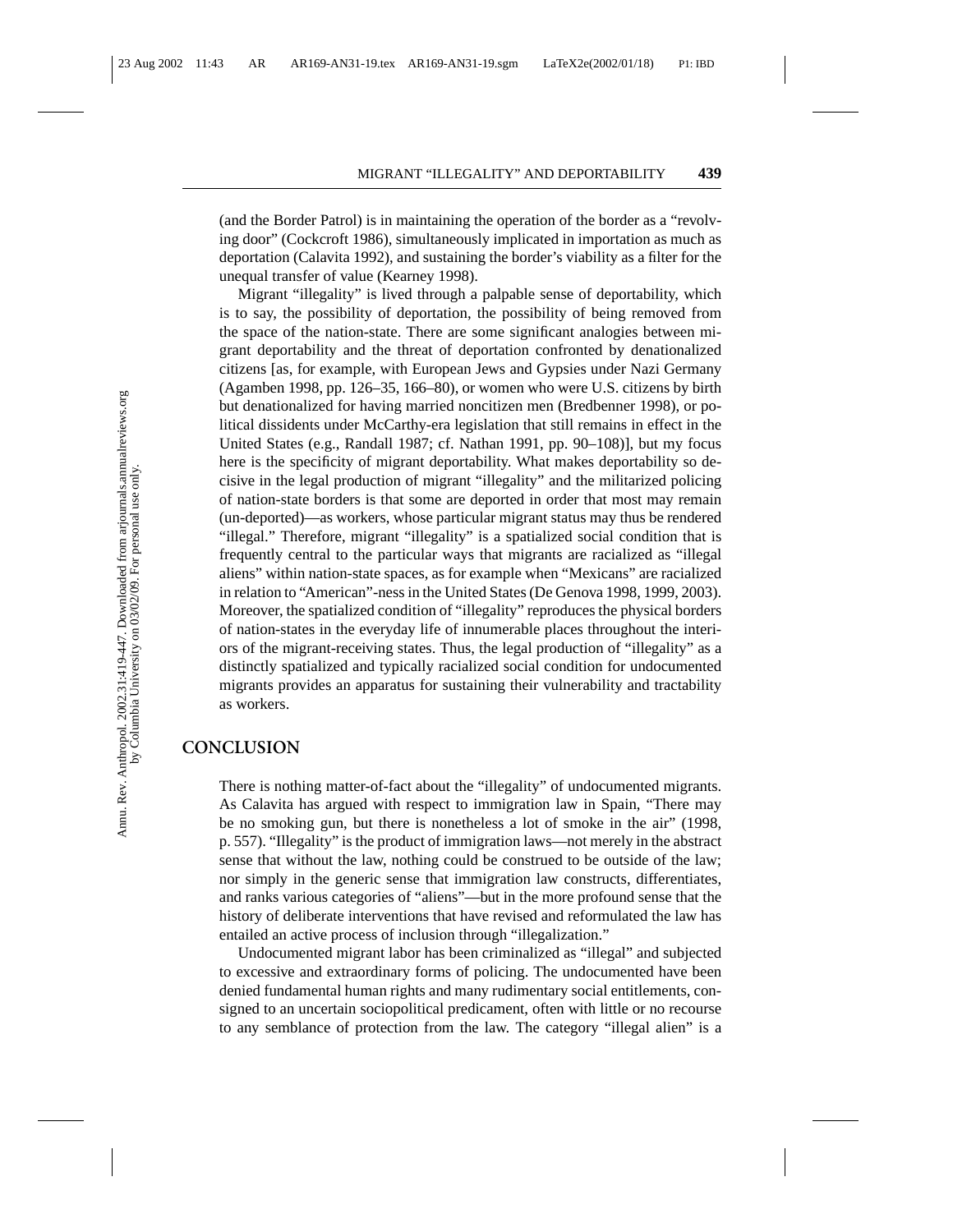(and the Border Patrol) is in maintaining the operation of the border as a "revolving door" (Cockcroft 1986), simultaneously implicated in importation as much as deportation (Calavita 1992), and sustaining the border's viability as a filter for the unequal transfer of value (Kearney 1998).

Migrant "illegality" is lived through a palpable sense of deportability, which is to say, the possibility of deportation, the possibility of being removed from the space of the nation-state. There are some significant analogies between migrant deportability and the threat of deportation confronted by denationalized citizens [as, for example, with European Jews and Gypsies under Nazi Germany (Agamben 1998, pp. 126–35, 166–80), or women who were U.S. citizens by birth but denationalized for having married noncitizen men (Bredbenner 1998), or political dissidents under McCarthy-era legislation that still remains in effect in the United States (e.g., Randall 1987; cf. Nathan 1991, pp. 90–108)], but my focus here is the specificity of migrant deportability. What makes deportability so decisive in the legal production of migrant "illegality" and the militarized policing of nation-state borders is that some are deported in order that most may remain (un-deported)—as workers, whose particular migrant status may thus be rendered "illegal." Therefore, migrant "illegality" is a spatialized social condition that is frequently central to the particular ways that migrants are racialized as "illegal aliens" within nation-state spaces, as for example when "Mexicans" are racialized in relation to "American"-ness in the United States (De Genova 1998, 1999, 2003). Moreover, the spatialized condition of "illegality" reproduces the physical borders of nation-states in the everyday life of innumerable places throughout the interiors of the migrant-receiving states. Thus, the legal production of "illegality" as a distinctly spatialized and typically racialized social condition for undocumented migrants provides an apparatus for sustaining their vulnerability and tractability as workers.

#### **CONCLUSION**

There is nothing matter-of-fact about the "illegality" of undocumented migrants. As Calavita has argued with respect to immigration law in Spain, "There may be no smoking gun, but there is nonetheless a lot of smoke in the air" (1998, p. 557). "Illegality" is the product of immigration laws—not merely in the abstract sense that without the law, nothing could be construed to be outside of the law; nor simply in the generic sense that immigration law constructs, differentiates, and ranks various categories of "aliens"—but in the more profound sense that the history of deliberate interventions that have revised and reformulated the law has entailed an active process of inclusion through "illegalization."

Undocumented migrant labor has been criminalized as "illegal" and subjected to excessive and extraordinary forms of policing. The undocumented have been denied fundamental human rights and many rudimentary social entitlements, consigned to an uncertain sociopolitical predicament, often with little or no recourse to any semblance of protection from the law. The category "illegal alien" is a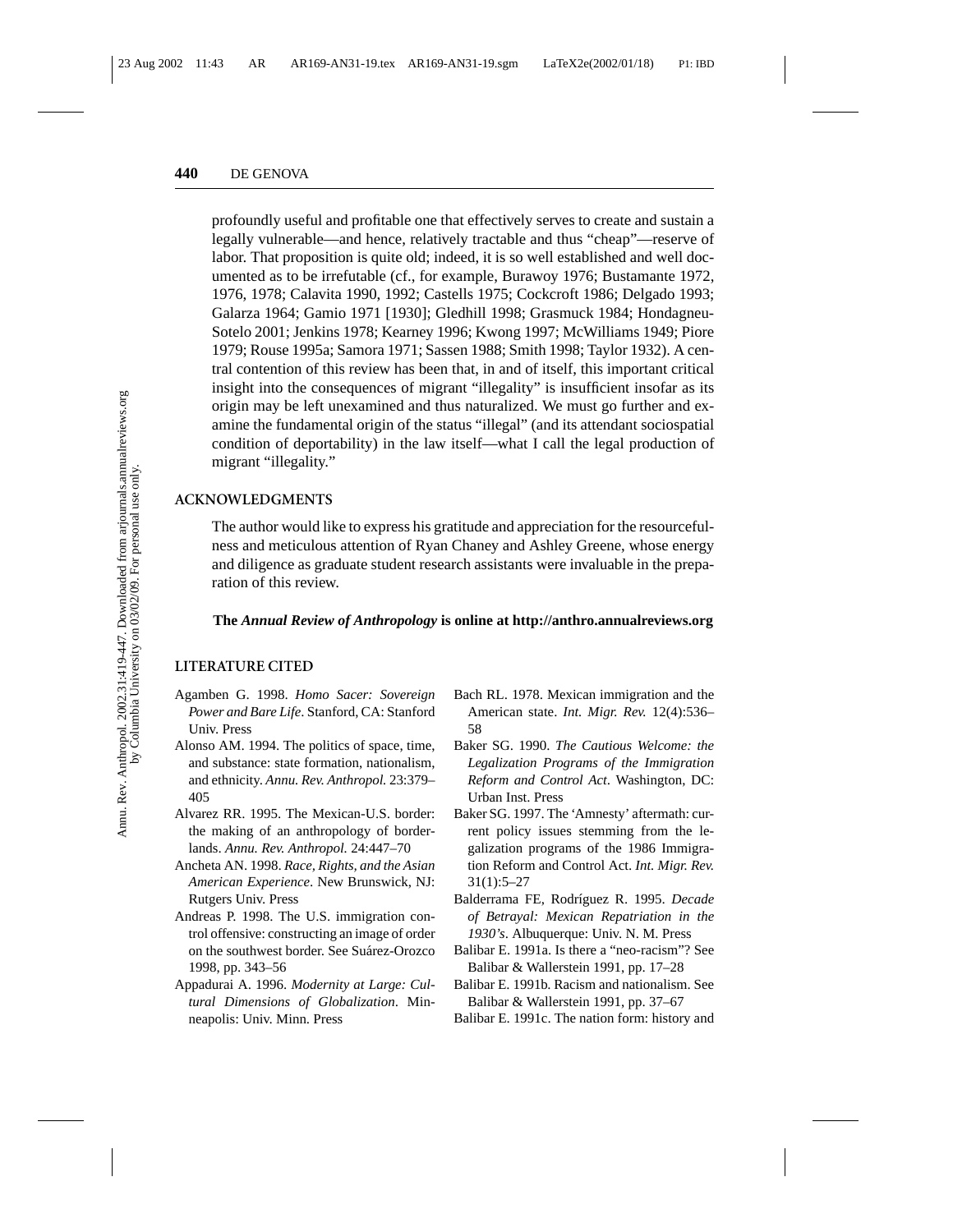profoundly useful and profitable one that effectively serves to create and sustain a legally vulnerable—and hence, relatively tractable and thus "cheap"—reserve of labor. That proposition is quite old; indeed, it is so well established and well documented as to be irrefutable (cf., for example, Burawoy 1976; Bustamante 1972, 1976, 1978; Calavita 1990, 1992; Castells 1975; Cockcroft 1986; Delgado 1993; Galarza 1964; Gamio 1971 [1930]; Gledhill 1998; Grasmuck 1984; Hondagneu-Sotelo 2001; Jenkins 1978; Kearney 1996; Kwong 1997; McWilliams 1949; Piore 1979; Rouse 1995a; Samora 1971; Sassen 1988; Smith 1998; Taylor 1932). A central contention of this review has been that, in and of itself, this important critical insight into the consequences of migrant "illegality" is insufficient insofar as its origin may be left unexamined and thus naturalized. We must go further and examine the fundamental origin of the status "illegal" (and its attendant sociospatial condition of deportability) in the law itself—what I call the legal production of migrant "illegality."

#### **ACKNOWLEDGMENTS**

The author would like to express his gratitude and appreciation for the resourcefulness and meticulous attention of Ryan Chaney and Ashley Greene, whose energy and diligence as graduate student research assistants were invaluable in the preparation of this review.

#### **The** *Annual Review of Anthropology* **is online at http://anthro.annualreviews.org**

#### **LITERATURE CITED**

- Agamben G. 1998. *Homo Sacer: Sovereign Power and Bare Life*. Stanford, CA: Stanford Univ. Press
- Alonso AM. 1994. The politics of space, time, and substance: state formation, nationalism, and ethnicity. *Annu. Rev. Anthropol.* 23:379– 405
- Alvarez RR. 1995. The Mexican-U.S. border: the making of an anthropology of borderlands. *Annu. Rev. Anthropol.* 24:447–70
- Ancheta AN. 1998. *Race, Rights, and the Asian American Experience*. New Brunswick, NJ: Rutgers Univ. Press
- Andreas P. 1998. The U.S. immigration control offensive: constructing an image of order on the southwest border. See Suárez-Orozco 1998, pp. 343–56
- Appadurai A. 1996. *Modernity at Large: Cultural Dimensions of Globalization*. Minneapolis: Univ. Minn. Press
- Bach RL. 1978. Mexican immigration and the American state. *Int. Migr. Rev.* 12(4):536– 58
- Baker SG. 1990. *The Cautious Welcome: the Legalization Programs of the Immigration Reform and Control Act*. Washington, DC: Urban Inst. Press
- Baker SG. 1997. The 'Amnesty' aftermath: current policy issues stemming from the legalization programs of the 1986 Immigration Reform and Control Act. *Int. Migr. Rev.* 31(1):5–27
- Balderrama FE, Rodríguez R. 1995. *Decade of Betrayal: Mexican Repatriation in the 1930's*. Albuquerque: Univ. N. M. Press
- Balibar E. 1991a. Is there a "neo-racism"? See Balibar & Wallerstein 1991, pp. 17–28
- Balibar E. 1991b. Racism and nationalism. See Balibar & Wallerstein 1991, pp. 37–67
- Balibar E. 1991c. The nation form: history and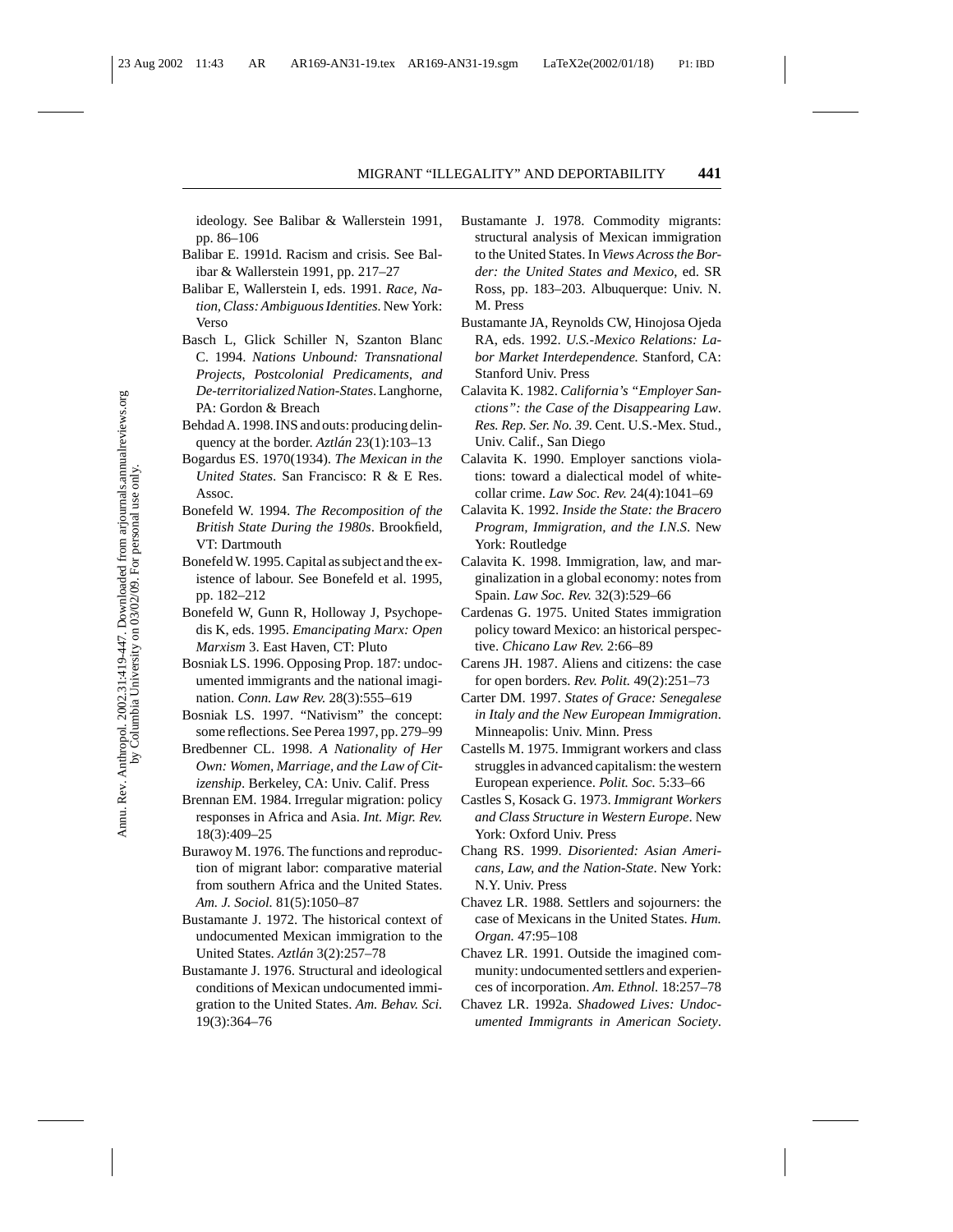ideology. See Balibar & Wallerstein 1991, pp. 86–106

- Balibar E. 1991d. Racism and crisis. See Balibar & Wallerstein 1991, pp. 217–27
- Balibar E, Wallerstein I, eds. 1991. *Race, Nation, Class: Ambiguous Identities.* New York: Verso
- Basch L, Glick Schiller N, Szanton Blanc C. 1994. *Nations Unbound: Transnational Projects, Postcolonial Predicaments, and De-territorialized Nation-States*. Langhorne, PA: Gordon & Breach
- Behdad A. 1998. INS and outs: producing delinquency at the border. *Aztlán* 23(1):103–13
- Bogardus ES. 1970(1934). *The Mexican in the United States*. San Francisco: R & E Res. Assoc.
- Bonefeld W. 1994. *The Recomposition of the British State During the 1980s*. Brookfield, VT: Dartmouth
- Bonefeld W. 1995. Capital as subject and the existence of labour. See Bonefeld et al. 1995, pp. 182–212
- Bonefeld W, Gunn R, Holloway J, Psychopedis K, eds. 1995. *Emancipating Marx: Open Marxism* 3. East Haven, CT: Pluto
- Bosniak LS. 1996. Opposing Prop. 187: undocumented immigrants and the national imagination. *Conn. Law Rev.* 28(3):555–619
- Bosniak LS. 1997. "Nativism" the concept: some reflections. See Perea 1997, pp. 279–99
- Bredbenner CL. 1998. *A Nationality of Her Own: Women, Marriage, and the Law of Citizenship*. Berkeley, CA: Univ. Calif. Press
- Brennan EM. 1984. Irregular migration: policy responses in Africa and Asia. *Int. Migr. Rev.* 18(3):409–25
- Burawoy M. 1976. The functions and reproduction of migrant labor: comparative material from southern Africa and the United States. *Am. J. Sociol.* 81(5):1050–87
- Bustamante J. 1972. The historical context of undocumented Mexican immigration to the United States. *Aztlan´* 3(2):257–78
- Bustamante J. 1976. Structural and ideological conditions of Mexican undocumented immigration to the United States. *Am. Behav. Sci.* 19(3):364–76
- Bustamante J. 1978. Commodity migrants: structural analysis of Mexican immigration to the United States. In *Views Across the Border: the United States and Mexico*, ed. SR Ross, pp. 183–203. Albuquerque: Univ. N. M. Press
- Bustamante JA, Reynolds CW, Hinojosa Ojeda RA, eds. 1992. *U.S.-Mexico Relations: Labor Market Interdependence.* Stanford, CA: Stanford Univ. Press
- Calavita K. 1982. *California's "Employer Sanctions": the Case of the Disappearing Law*. *Res. Rep. Ser. No. 39.* Cent. U.S.-Mex. Stud., Univ. Calif., San Diego
- Calavita K. 1990. Employer sanctions violations: toward a dialectical model of whitecollar crime. *Law Soc. Rev.* 24(4):1041–69
- Calavita K. 1992. *Inside the State: the Bracero Program, Immigration, and the I.N.S*. New York: Routledge
- Calavita K. 1998. Immigration, law, and marginalization in a global economy: notes from Spain. *Law Soc. Rev.* 32(3):529–66
- Cardenas G. 1975. United States immigration policy toward Mexico: an historical perspective. *Chicano Law Rev.* 2:66–89
- Carens JH. 1987. Aliens and citizens: the case for open borders. *Rev. Polit.* 49(2):251–73
- Carter DM. 1997. *States of Grace: Senegalese in Italy and the New European Immigration*. Minneapolis: Univ. Minn. Press
- Castells M. 1975. Immigrant workers and class struggles in advanced capitalism: the western European experience. *Polit. Soc.* 5:33–66
- Castles S, Kosack G. 1973. *Immigrant Workers and Class Structure in Western Europe*. New York: Oxford Univ. Press
- Chang RS. 1999. *Disoriented: Asian Americans, Law, and the Nation-State*. New York: N.Y. Univ. Press
- Chavez LR. 1988. Settlers and sojourners: the case of Mexicans in the United States. *Hum. Organ.* 47:95–108
- Chavez LR. 1991. Outside the imagined community: undocumented settlers and experiences of incorporation. *Am. Ethnol.* 18:257–78
- Chavez LR. 1992a. *Shadowed Lives: Undocumented Immigrants in American Society*.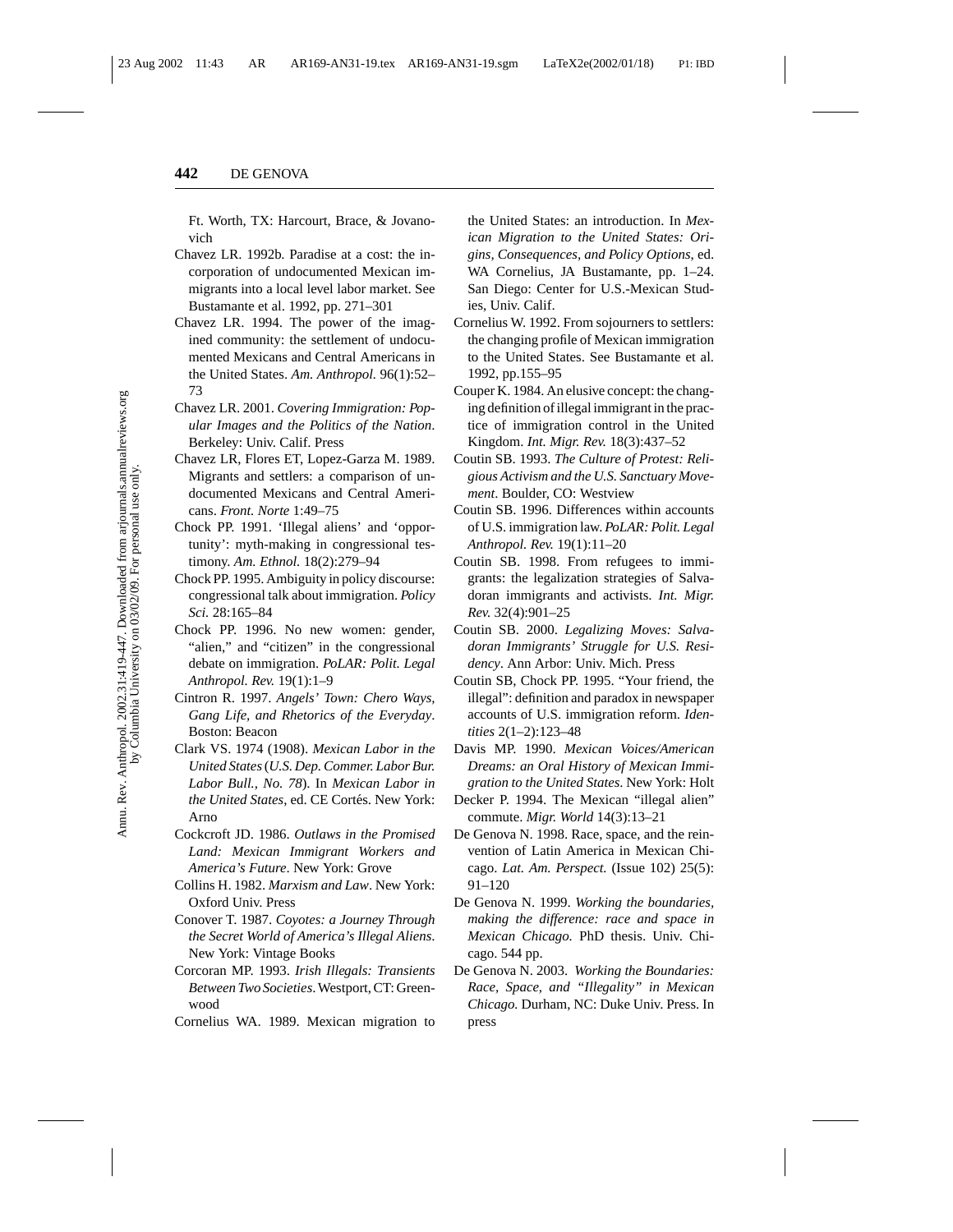Ft. Worth, TX: Harcourt, Brace, & Jovanovich

- Chavez LR. 1992b. Paradise at a cost: the incorporation of undocumented Mexican immigrants into a local level labor market. See Bustamante et al. 1992, pp. 271–301
- Chavez LR. 1994. The power of the imagined community: the settlement of undocumented Mexicans and Central Americans in the United States. *Am. Anthropol.* 96(1):52– 73
- Chavez LR. 2001. *Covering Immigration: Popular Images and the Politics of the Nation*. Berkeley: Univ. Calif. Press
- Chavez LR, Flores ET, Lopez-Garza M. 1989. Migrants and settlers: a comparison of undocumented Mexicans and Central Americans. *Front. Norte* 1:49–75
- Chock PP. 1991. 'Illegal aliens' and 'opportunity': myth-making in congressional testimony. *Am. Ethnol.* 18(2):279–94
- Chock PP. 1995. Ambiguity in policy discourse: congressional talk about immigration. *Policy Sci.* 28:165–84
- Chock PP. 1996. No new women: gender, "alien," and "citizen" in the congressional debate on immigration. *PoLAR: Polit. Legal Anthropol. Rev.* 19(1):1–9
- Cintron R. 1997. *Angels' Town: Chero Ways, Gang Life, and Rhetorics of the Everyday*. Boston: Beacon
- Clark VS. 1974 (1908). *Mexican Labor in the United States*(*U.S. Dep. Commer. Labor Bur. Labor Bull., No. 78*). In *Mexican Labor in the United States*, ed. CE Cortés. New York: Arno
- Cockcroft JD. 1986. *Outlaws in the Promised Land: Mexican Immigrant Workers and America's Future*. New York: Grove
- Collins H. 1982. *Marxism and Law*. New York: Oxford Univ. Press
- Conover T. 1987. *Coyotes: a Journey Through the Secret World of America's Illegal Aliens*. New York: Vintage Books
- Corcoran MP. 1993. *Irish Illegals: Transients Between Two Societies*. Westport, CT: Greenwood
- Cornelius WA. 1989. Mexican migration to

the United States: an introduction. In *Mexican Migration to the United States: Origins, Consequences, and Policy Options*, ed. WA Cornelius, JA Bustamante, pp. 1–24. San Diego: Center for U.S.-Mexican Studies, Univ. Calif.

- Cornelius W. 1992. From sojourners to settlers: the changing profile of Mexican immigration to the United States. See Bustamante et al. 1992, pp.155–95
- Couper K. 1984. An elusive concept: the changing definition of illegal immigrant in the practice of immigration control in the United Kingdom. *Int. Migr. Rev.* 18(3):437–52
- Coutin SB. 1993. *The Culture of Protest: Religious Activism and the U.S. Sanctuary Movement*. Boulder, CO: Westview
- Coutin SB. 1996. Differences within accounts of U.S. immigration law. *PoLAR: Polit. Legal Anthropol. Rev.* 19(1):11–20
- Coutin SB. 1998. From refugees to immigrants: the legalization strategies of Salvadoran immigrants and activists. *Int. Migr. Rev.* 32(4):901–25
- Coutin SB. 2000. *Legalizing Moves: Salvadoran Immigrants' Struggle for U.S. Residency*. Ann Arbor: Univ. Mich. Press
- Coutin SB, Chock PP. 1995. "Your friend, the illegal": definition and paradox in newspaper accounts of U.S. immigration reform. *Identities* 2(1–2):123–48
- Davis MP. 1990. *Mexican Voices/American Dreams: an Oral History of Mexican Immigration to the United States*. New York: Holt
- Decker P. 1994. The Mexican "illegal alien" commute. *Migr. World* 14(3):13–21
- De Genova N. 1998. Race, space, and the reinvention of Latin America in Mexican Chicago. *Lat. Am. Perspect.* (Issue 102) 25(5): 91–120
- De Genova N. 1999. *Working the boundaries, making the difference: race and space in Mexican Chicago.* PhD thesis. Univ. Chicago. 544 pp.
- De Genova N. 2003. *Working the Boundaries: Race, Space, and "Illegality" in Mexican Chicago.* Durham, NC: Duke Univ. Press. In press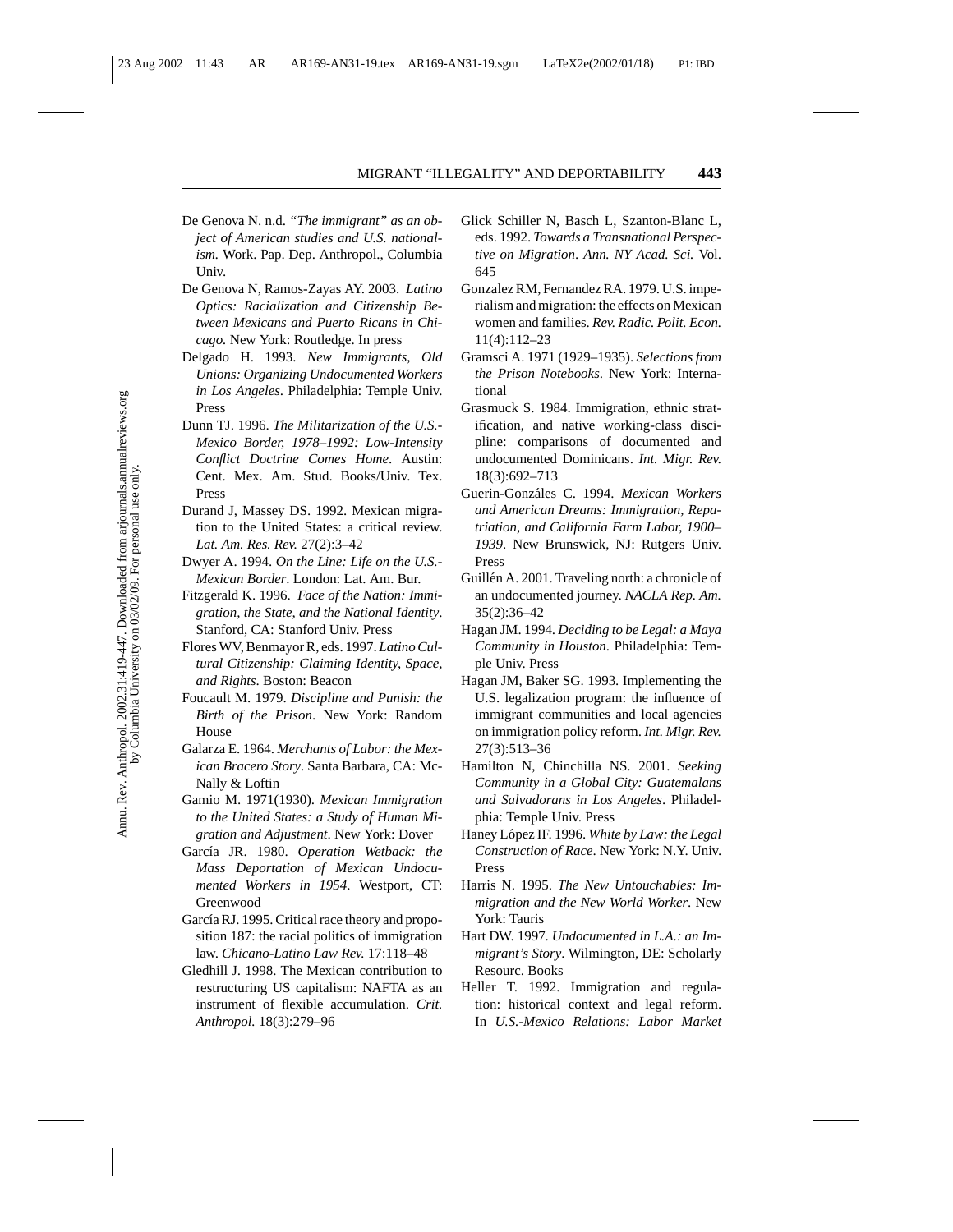- De Genova N. n.d. *"The immigrant" as an object of American studies and U.S. nationalism.* Work. Pap. Dep. Anthropol., Columbia Univ.
- De Genova N, Ramos-Zayas AY. 2003. *Latino Optics: Racialization and Citizenship Between Mexicans and Puerto Ricans in Chicago.* New York: Routledge. In press
- Delgado H. 1993. *New Immigrants, Old Unions: Organizing Undocumented Workers in Los Angeles*. Philadelphia: Temple Univ. Press
- Dunn TJ. 1996. *The Militarization of the U.S.- Mexico Border, 1978–1992: Low-Intensity Conflict Doctrine Comes Home*. Austin: Cent. Mex. Am. Stud. Books/Univ. Tex. Press
- Durand J, Massey DS. 1992. Mexican migration to the United States: a critical review. *Lat. Am. Res. Rev.* 27(2):3–42
- Dwyer A. 1994. *On the Line: Life on the U.S.- Mexican Border*. London: Lat. Am. Bur.
- Fitzgerald K. 1996. *Face of the Nation: Immigration, the State, and the National Identity*. Stanford, CA: Stanford Univ. Press
- Flores WV, Benmayor R, eds. 1997. *Latino Cultural Citizenship: Claiming Identity, Space, and Rights*. Boston: Beacon
- Foucault M. 1979. *Discipline and Punish: the Birth of the Prison*. New York: Random House
- Galarza E. 1964. *Merchants of Labor: the Mexican Bracero Story*. Santa Barbara, CA: Mc-Nally & Loftin
- Gamio M. 1971(1930). *Mexican Immigration to the United States: a Study of Human Migration and Adjustment*. New York: Dover
- García JR. 1980. *Operation Wetback: the Mass Deportation of Mexican Undocumented Workers in 1954*. Westport, CT: Greenwood
- García RJ. 1995. Critical race theory and proposition 187: the racial politics of immigration law. *Chicano-Latino Law Rev.* 17:118–48
- Gledhill J. 1998. The Mexican contribution to restructuring US capitalism: NAFTA as an instrument of flexible accumulation. *Crit. Anthropol.* 18(3):279–96
- Glick Schiller N, Basch L, Szanton-Blanc L, eds. 1992. *Towards a Transnational Perspective on Migration*. *Ann. NY Acad. Sci.* Vol. 645
- Gonzalez RM, Fernandez RA. 1979. U.S. imperialism and migration: the effects on Mexican women and families. *Rev. Radic. Polit. Econ.* 11(4):112–23
- Gramsci A. 1971 (1929–1935). *Selections from the Prison Notebooks*. New York: International
- Grasmuck S. 1984. Immigration, ethnic stratification, and native working-class discipline: comparisons of documented and undocumented Dominicans. *Int. Migr. Rev.* 18(3):692–713
- Guerin-Gonz´ales C. 1994. *Mexican Workers and American Dreams: Immigration, Repatriation, and California Farm Labor, 1900– 1939*. New Brunswick, NJ: Rutgers Univ. Press
- Guillén A. 2001. Traveling north: a chronicle of an undocumented journey. *NACLA Rep. Am.* 35(2):36–42
- Hagan JM. 1994. *Deciding to be Legal: a Maya Community in Houston*. Philadelphia: Temple Univ. Press
- Hagan JM, Baker SG. 1993. Implementing the U.S. legalization program: the influence of immigrant communities and local agencies on immigration policy reform. *Int. Migr. Rev.* 27(3):513–36
- Hamilton N, Chinchilla NS. 2001. *Seeking Community in a Global City: Guatemalans and Salvadorans in Los Angeles*. Philadelphia: Temple Univ. Press
- Haney López IF. 1996. *White by Law: the Legal Construction of Race*. New York: N.Y. Univ. Press
- Harris N. 1995. *The New Untouchables: Immigration and the New World Worker*. New York: Tauris
- Hart DW. 1997. *Undocumented in L.A.: an Immigrant's Story*. Wilmington, DE: Scholarly Resourc. Books
- Heller T. 1992. Immigration and regulation: historical context and legal reform. In *U.S.-Mexico Relations: Labor Market*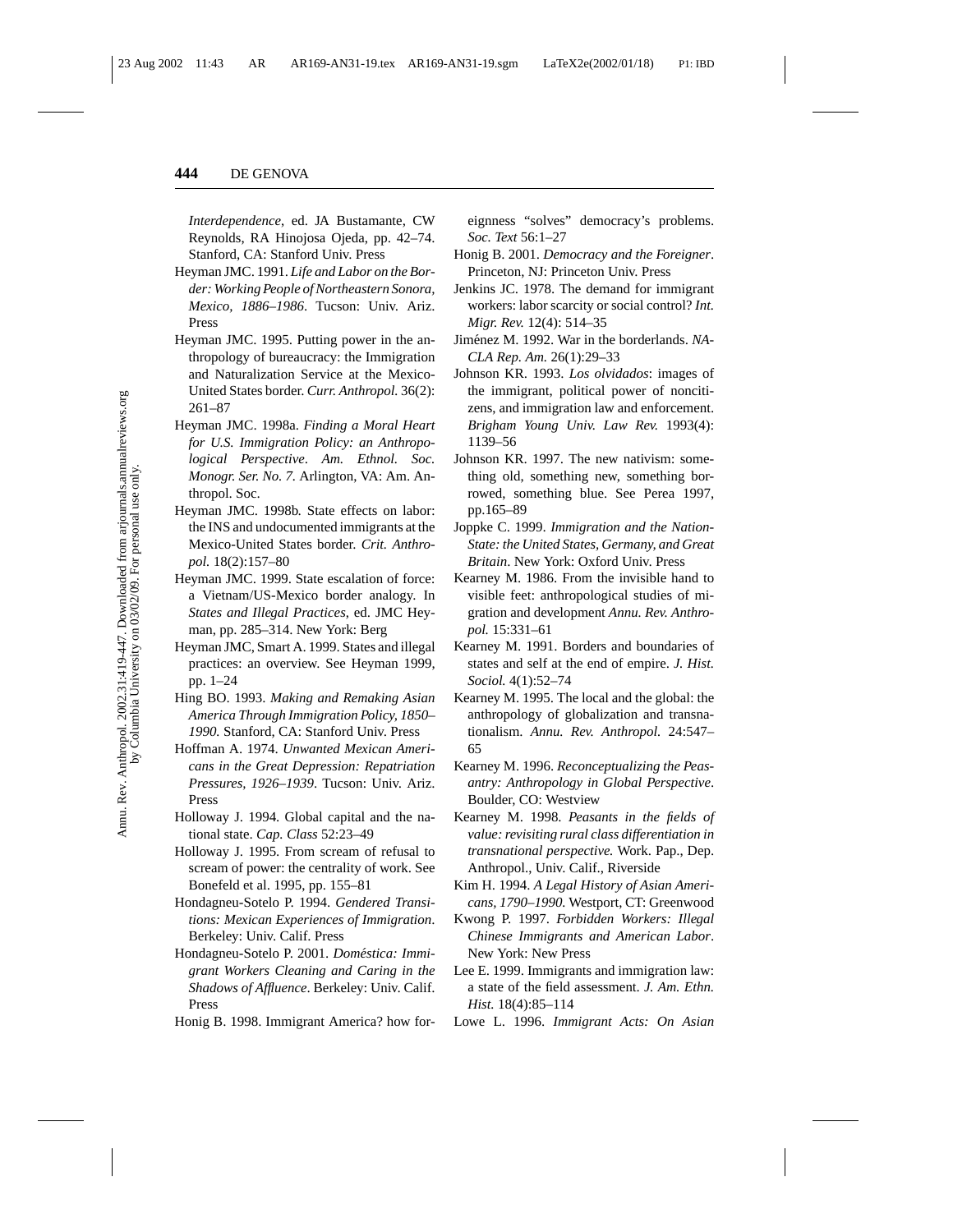*Interdependence*, ed. JA Bustamante, CW Reynolds, RA Hinojosa Ojeda, pp. 42–74. Stanford, CA: Stanford Univ. Press

- Heyman JMC. 1991. *Life and Labor on the Border: Working People of Northeastern Sonora, Mexico, 1886–1986*. Tucson: Univ. Ariz. Press
- Heyman JMC. 1995. Putting power in the anthropology of bureaucracy: the Immigration and Naturalization Service at the Mexico-United States border. *Curr. Anthropol.* 36(2): 261–87
- Heyman JMC. 1998a. *Finding a Moral Heart for U.S. Immigration Policy: an Anthropological Perspective*. *Am. Ethnol. Soc. Monogr. Ser. No. 7.* Arlington, VA: Am. Anthropol. Soc.
- Heyman JMC. 1998b. State effects on labor: the INS and undocumented immigrants at the Mexico-United States border. *Crit. Anthropol.* 18(2):157–80
- Heyman JMC. 1999. State escalation of force: a Vietnam/US-Mexico border analogy. In *States and Illegal Practices*, ed. JMC Heyman, pp. 285–314. New York: Berg
- Heyman JMC, Smart A. 1999. States and illegal practices: an overview. See Heyman 1999, pp. 1–24
- Hing BO. 1993. *Making and Remaking Asian America Through Immigration Policy, 1850– 1990.* Stanford, CA: Stanford Univ. Press
- Hoffman A. 1974. *Unwanted Mexican Americans in the Great Depression: Repatriation Pressures, 1926–1939*. Tucson: Univ. Ariz. Press
- Holloway J. 1994. Global capital and the national state. *Cap. Class* 52:23–49
- Holloway J. 1995. From scream of refusal to scream of power: the centrality of work. See Bonefeld et al. 1995, pp. 155–81
- Hondagneu-Sotelo P. 1994. *Gendered Transitions: Mexican Experiences of Immigration*. Berkeley: Univ. Calif. Press
- Hondagneu-Sotelo P. 2001. *Domestica: Immi- ´ grant Workers Cleaning and Caring in the Shadows of Affluence*. Berkeley: Univ. Calif. Press
- Honig B. 1998. Immigrant America? how for-

eignness "solves" democracy's problems. *Soc. Text* 56:1–27

- Honig B. 2001. *Democracy and the Foreigner*. Princeton, NJ: Princeton Univ. Press
- Jenkins JC. 1978. The demand for immigrant workers: labor scarcity or social control? *Int. Migr. Rev.* 12(4): 514–35
- Jiménez M. 1992. War in the borderlands. NA-*CLA Rep. Am.* 26(1):29–33
- Johnson KR. 1993. *Los olvidados*: images of the immigrant, political power of noncitizens, and immigration law and enforcement. *Brigham Young Univ. Law Rev.* 1993(4): 1139–56
- Johnson KR. 1997. The new nativism: something old, something new, something borrowed, something blue. See Perea 1997, pp.165–89
- Joppke C. 1999. *Immigration and the Nation-State: the United States, Germany, and Great Britain*. New York: Oxford Univ. Press
- Kearney M. 1986. From the invisible hand to visible feet: anthropological studies of migration and development *Annu. Rev. Anthropol.* 15:331–61
- Kearney M. 1991. Borders and boundaries of states and self at the end of empire. *J. Hist. Sociol.* 4(1):52–74
- Kearney M. 1995. The local and the global: the anthropology of globalization and transnationalism. *Annu. Rev. Anthropol.* 24:547– 65
- Kearney M. 1996. *Reconceptualizing the Peasantry: Anthropology in Global Perspective*. Boulder, CO: Westview
- Kearney M. 1998. *Peasants in the fields of value: revisiting rural class differentiation in transnational perspective.* Work. Pap., Dep. Anthropol., Univ. Calif., Riverside
- Kim H. 1994. *A Legal History of Asian Americans, 1790–1990.* Westport, CT: Greenwood
- Kwong P. 1997. *Forbidden Workers: Illegal Chinese Immigrants and American Labor*. New York: New Press
- Lee E. 1999. Immigrants and immigration law: a state of the field assessment. *J. Am. Ethn. Hist.* 18(4):85–114
- Lowe L. 1996. *Immigrant Acts: On Asian*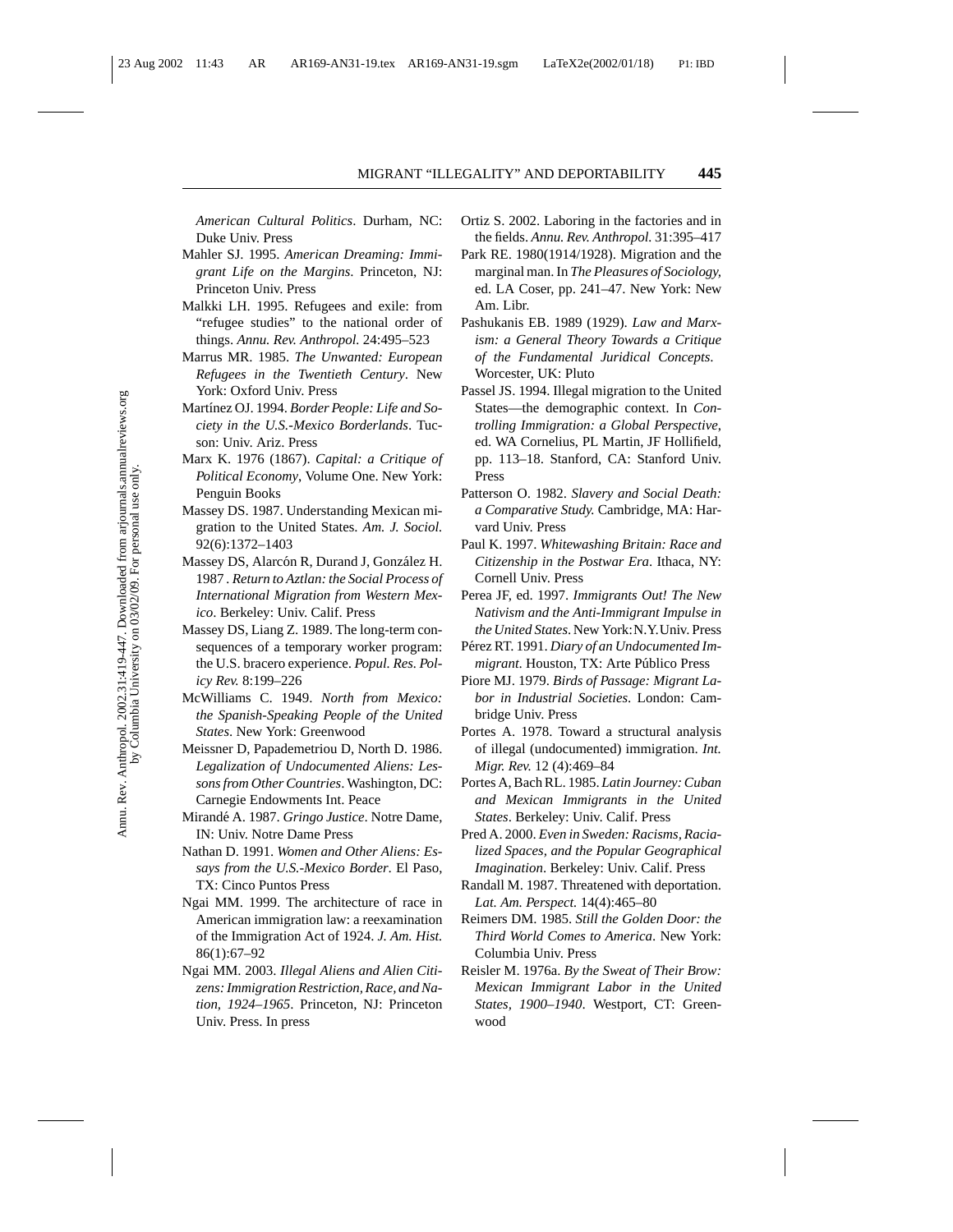*American Cultural Politics*. Durham, NC: Duke Univ. Press

- Mahler SJ. 1995. *American Dreaming: Immigrant Life on the Margins*. Princeton, NJ: Princeton Univ. Press
- Malkki LH. 1995. Refugees and exile: from "refugee studies" to the national order of things. *Annu. Rev. Anthropol.* 24:495–523
- Marrus MR. 1985. *The Unwanted: European Refugees in the Twentieth Century*. New York: Oxford Univ. Press
- Martínez OJ. 1994. Border People: Life and So*ciety in the U.S.-Mexico Borderlands*. Tucson: Univ. Ariz. Press
- Marx K. 1976 (1867). *Capital: a Critique of Political Economy*, Volume One. New York: Penguin Books
- Massey DS. 1987. Understanding Mexican migration to the United States. *Am. J. Sociol.* 92(6):1372–1403
- Massey DS, Alarcón R, Durand J, González H. 1987 *. Return to Aztlan: the Social Process of International Migration from Western Mexico*. Berkeley: Univ. Calif. Press
- Massey DS, Liang Z. 1989. The long-term consequences of a temporary worker program: the U.S. bracero experience. *Popul. Res. Policy Rev.* 8:199–226
- McWilliams C. 1949. *North from Mexico: the Spanish-Speaking People of the United States*. New York: Greenwood
- Meissner D, Papademetriou D, North D. 1986. *Legalization of Undocumented Aliens: Lessons from Other Countries*. Washington, DC: Carnegie Endowments Int. Peace
- Mirand´e A. 1987. *Gringo Justice*. Notre Dame, IN: Univ. Notre Dame Press
- Nathan D. 1991. *Women and Other Aliens: Essays from the U.S.-Mexico Border*. El Paso, TX: Cinco Puntos Press
- Ngai MM. 1999. The architecture of race in American immigration law: a reexamination of the Immigration Act of 1924. *J. Am. Hist.* 86(1):67–92
- Ngai MM. 2003. *Illegal Aliens and Alien Citizens: Immigration Restriction, Race, and Nation, 1924–1965*. Princeton, NJ: Princeton Univ. Press. In press
- Ortiz S. 2002. Laboring in the factories and in the fields. *Annu. Rev. Anthropol.* 31:395–417
- Park RE. 1980(1914/1928). Migration and the marginal man. In *The Pleasures of Sociology,* ed. LA Coser, pp. 241–47. New York: New Am. Libr.
- Pashukanis EB. 1989 (1929). *Law and Marxism: a General Theory Towards a Critique of the Fundamental Juridical Concepts*. Worcester, UK: Pluto
- Passel JS. 1994. Illegal migration to the United States—the demographic context. In *Controlling Immigration: a Global Perspective*, ed. WA Cornelius, PL Martin, JF Hollifield, pp. 113–18. Stanford, CA: Stanford Univ. Press
- Patterson O. 1982. *Slavery and Social Death: a Comparative Study.* Cambridge, MA: Harvard Univ. Press
- Paul K. 1997. *Whitewashing Britain: Race and Citizenship in the Postwar Era*. Ithaca, NY: Cornell Univ. Press
- Perea JF, ed. 1997. *Immigrants Out! The New Nativism and the Anti-Immigrant Impulse in the United States*. New York:N.Y.Univ. Press
- Pérez RT. 1991. *Diary of an Undocumented Immigrant*. Houston, TX: Arte Público Press
- Piore MJ. 1979. *Birds of Passage: Migrant Labor in Industrial Societies*. London: Cambridge Univ. Press
- Portes A. 1978. Toward a structural analysis of illegal (undocumented) immigration. *Int. Migr. Rev.* 12 (4):469–84
- Portes A, Bach RL. 1985. *Latin Journey: Cuban and Mexican Immigrants in the United States*. Berkeley: Univ. Calif. Press
- Pred A. 2000. *Even in Sweden: Racisms, Racialized Spaces, and the Popular Geographical Imagination*. Berkeley: Univ. Calif. Press
- Randall M. 1987. Threatened with deportation. *Lat. Am. Perspect.* 14(4):465–80
- Reimers DM. 1985. *Still the Golden Door: the Third World Comes to America*. New York: Columbia Univ. Press
- Reisler M. 1976a. *By the Sweat of Their Brow: Mexican Immigrant Labor in the United States, 1900–1940*. Westport, CT: Greenwood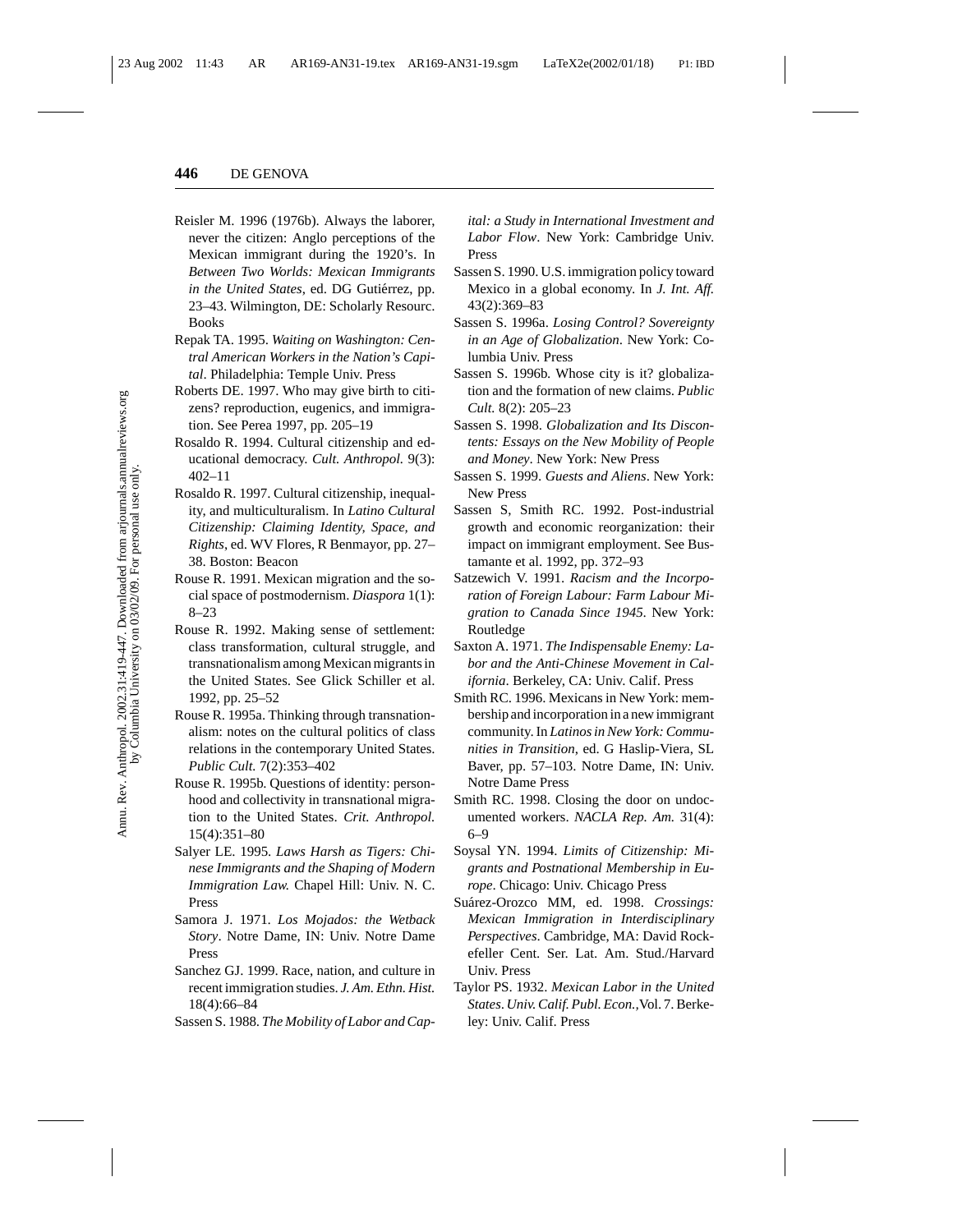- Reisler M. 1996 (1976b). Always the laborer, never the citizen: Anglo perceptions of the Mexican immigrant during the 1920's. In *Between Two Worlds: Mexican Immigrants in the United States*, ed. DG Gutiérrez, pp. 23–43. Wilmington, DE: Scholarly Resourc. Books
- Repak TA. 1995. *Waiting on Washington: Central American Workers in the Nation's Capital*. Philadelphia: Temple Univ. Press
- Roberts DE. 1997. Who may give birth to citizens? reproduction, eugenics, and immigration. See Perea 1997, pp. 205–19
- Rosaldo R. 1994. Cultural citizenship and educational democracy. *Cult. Anthropol.* 9(3): 402–11
- Rosaldo R. 1997. Cultural citizenship, inequality, and multiculturalism. In *Latino Cultural Citizenship: Claiming Identity, Space, and Rights*, ed. WV Flores, R Benmayor, pp. 27– 38. Boston: Beacon
- Rouse R. 1991. Mexican migration and the social space of postmodernism. *Diaspora* 1(1): 8–23
- Rouse R. 1992. Making sense of settlement: class transformation, cultural struggle, and transnationalism among Mexican migrants in the United States. See Glick Schiller et al. 1992, pp. 25–52
- Rouse R. 1995a. Thinking through transnationalism: notes on the cultural politics of class relations in the contemporary United States. *Public Cult.* 7(2):353–402
- Rouse R. 1995b. Questions of identity: personhood and collectivity in transnational migration to the United States. *Crit. Anthropol.* 15(4):351–80
- Salyer LE. 1995. *Laws Harsh as Tigers: Chinese Immigrants and the Shaping of Modern Immigration Law.* Chapel Hill: Univ. N. C. Press
- Samora J. 1971. *Los Mojados: the Wetback Story*. Notre Dame, IN: Univ. Notre Dame Press
- Sanchez GJ. 1999. Race, nation, and culture in recent immigration studies. *J. Am. Ethn. Hist.* 18(4):66–84
- Sassen S. 1988. *The Mobility of Labor and Cap-*

*ital: a Study in International Investment and Labor Flow*. New York: Cambridge Univ. Press

- Sassen S. 1990. U.S. immigration policy toward Mexico in a global economy. In *J. Int. Aff.* 43(2):369–83
- Sassen S. 1996a. *Losing Control? Sovereignty in an Age of Globalization*. New York: Columbia Univ. Press
- Sassen S. 1996b. Whose city is it? globalization and the formation of new claims. *Public Cult.* 8(2): 205–23
- Sassen S. 1998. *Globalization and Its Discontents: Essays on the New Mobility of People and Money*. New York: New Press
- Sassen S. 1999. *Guests and Aliens*. New York: New Press
- Sassen S, Smith RC. 1992. Post-industrial growth and economic reorganization: their impact on immigrant employment. See Bustamante et al. 1992, pp. 372–93
- Satzewich V. 1991. *Racism and the Incorporation of Foreign Labour: Farm Labour Migration to Canada Since 1945*. New York: Routledge
- Saxton A. 1971. *The Indispensable Enemy: Labor and the Anti-Chinese Movement in California*. Berkeley, CA: Univ. Calif. Press
- Smith RC. 1996. Mexicans in New York: membership and incorporation in a new immigrant community. In *Latinos in New York: Communities in Transition*, ed. G Haslip-Viera, SL Baver, pp. 57–103. Notre Dame, IN: Univ. Notre Dame Press
- Smith RC. 1998. Closing the door on undocumented workers. *NACLA Rep. Am.* 31(4): 6–9
- Soysal YN. 1994. *Limits of Citizenship: Migrants and Postnational Membership in Europe*. Chicago: Univ. Chicago Press
- Suárez-Orozco MM, ed. 1998. Crossings: *Mexican Immigration in Interdisciplinary Perspectives*. Cambridge, MA: David Rockefeller Cent. Ser. Lat. Am. Stud./Harvard Univ. Press
- Taylor PS. 1932. *Mexican Labor in the United States*. *Univ. Calif. Publ. Econ.,*Vol. 7. Berkeley: Univ. Calif. Press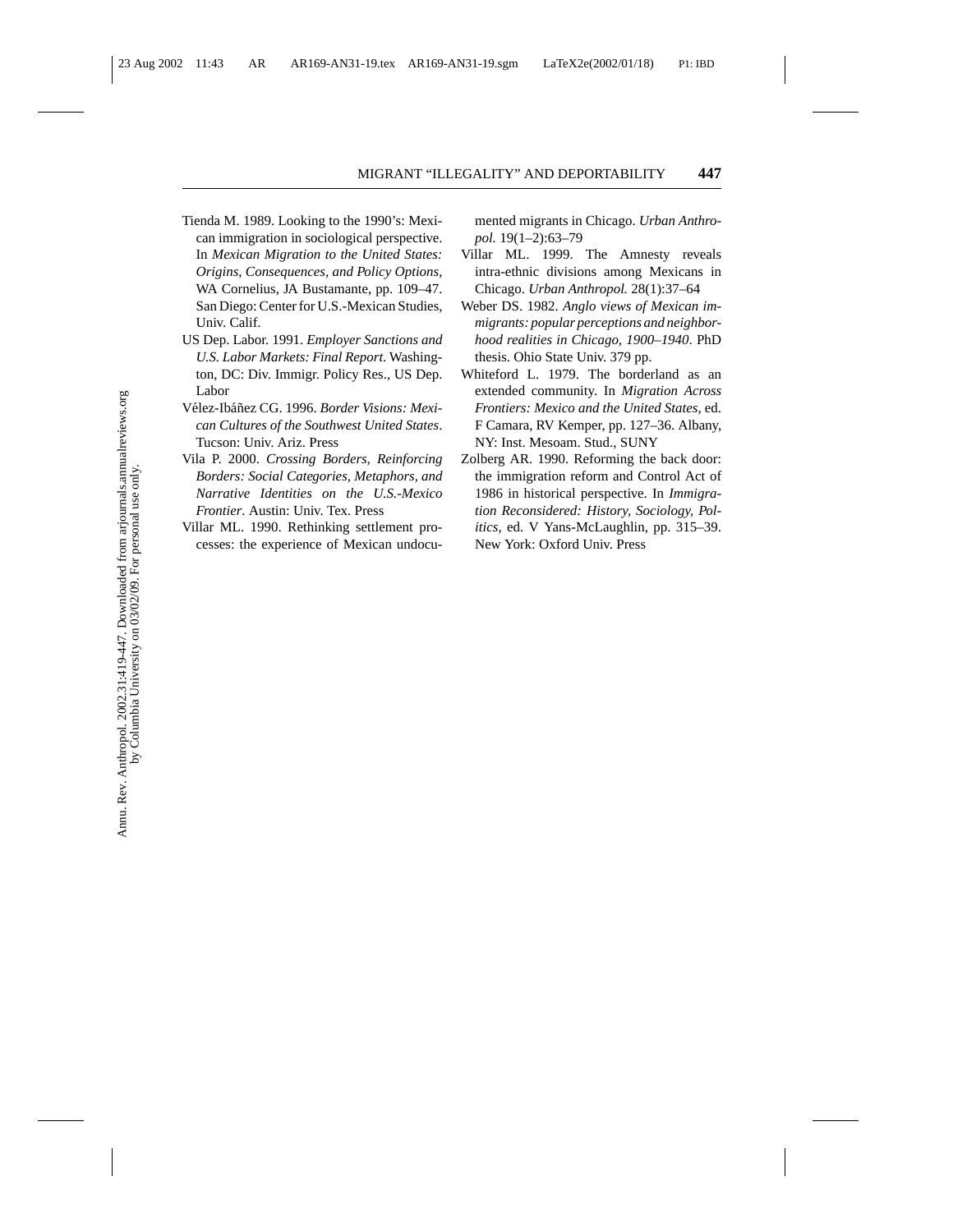- Tienda M. 1989. Looking to the 1990's: Mexican immigration in sociological perspective. In *Mexican Migration to the United States: Origins, Consequences, and Policy Options*, WA Cornelius, JA Bustamante, pp. 109–47. San Diego: Center for U.S.-Mexican Studies, Univ. Calif.
- US Dep. Labor. 1991. *Employer Sanctions and U.S. Labor Markets: Final Report*. Washington, DC: Div. Immigr. Policy Res., US Dep. Labor
- Vélez-Ibáñez CG. 1996. Border Visions: Mexi*can Cultures of the Southwest United States*. Tucson: Univ. Ariz. Press
- Vila P. 2000. *Crossing Borders, Reinforcing Borders: Social Categories, Metaphors, and Narrative Identities on the U.S.-Mexico Frontier*. Austin: Univ. Tex. Press
- Villar ML. 1990. Rethinking settlement processes: the experience of Mexican undocu-

mented migrants in Chicago. *Urban Anthropol.* 19(1–2):63–79

- Villar ML. 1999. The Amnesty reveals intra-ethnic divisions among Mexicans in Chicago. *Urban Anthropol.* 28(1):37–64
- Weber DS. 1982. *Anglo views of Mexican immigrants: popular perceptions and neighborhood realities in Chicago, 1900–1940*. PhD thesis. Ohio State Univ. 379 pp.
- Whiteford L. 1979. The borderland as an extended community. In *Migration Across Frontiers: Mexico and the United States*, ed. F Camara, RV Kemper, pp. 127–36. Albany, NY: Inst. Mesoam. Stud., SUNY
- Zolberg AR. 1990. Reforming the back door: the immigration reform and Control Act of 1986 in historical perspective. In *Immigration Reconsidered: History, Sociology, Politics*, ed. V Yans-McLaughlin, pp. 315–39. New York: Oxford Univ. Press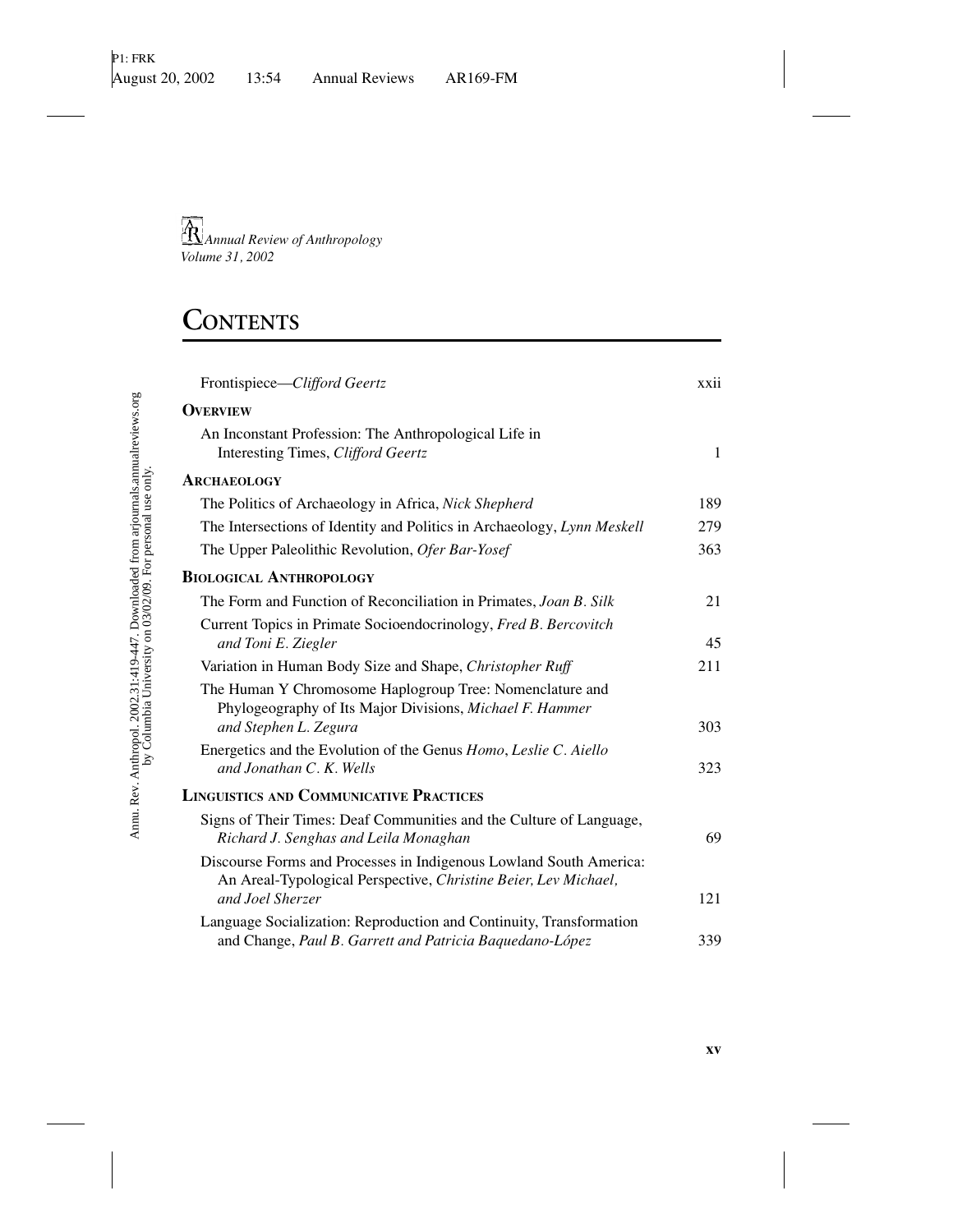## **CONTENTS**

| Frontispiece-Clifford Geertz                                                                                                                  | xxii         |
|-----------------------------------------------------------------------------------------------------------------------------------------------|--------------|
| <b>OVERVIEW</b>                                                                                                                               |              |
| An Inconstant Profession: The Anthropological Life in<br>Interesting Times, Clifford Geertz                                                   | $\mathbf{1}$ |
| <b>ARCHAEOLOGY</b>                                                                                                                            |              |
| The Politics of Archaeology in Africa, Nick Shepherd                                                                                          | 189          |
| The Intersections of Identity and Politics in Archaeology, Lynn Meskell                                                                       | 279          |
| The Upper Paleolithic Revolution, Ofer Bar-Yosef                                                                                              | 363          |
| <b>BIOLOGICAL ANTHROPOLOGY</b>                                                                                                                |              |
| The Form and Function of Reconciliation in Primates, Joan B. Silk                                                                             | 21           |
| Current Topics in Primate Socioendocrinology, Fred B. Bercovitch<br>and Toni E. Ziegler                                                       | 45           |
| Variation in Human Body Size and Shape, Christopher Ruff                                                                                      | 211          |
| The Human Y Chromosome Haplogroup Tree: Nomenclature and<br>Phylogeography of Its Major Divisions, Michael F. Hammer<br>and Stephen L. Zegura | 303          |
| Energetics and the Evolution of the Genus Homo, Leslie C. Aiello<br>and Jonathan C. K. Wells                                                  | 323          |
| <b>LINGUISTICS AND COMMUNICATIVE PRACTICES</b>                                                                                                |              |
| Signs of Their Times: Deaf Communities and the Culture of Language,<br>Richard J. Senghas and Leila Monaghan                                  | 69           |
| Discourse Forms and Processes in Indigenous Lowland South America:<br>An Areal-Typological Perspective, Christine Beier, Lev Michael,         |              |
| and Joel Sherzer                                                                                                                              | 121          |
| Language Socialization: Reproduction and Continuity, Transformation<br>and Change, Paul B. Garrett and Patricia Baquedano-López               | 339          |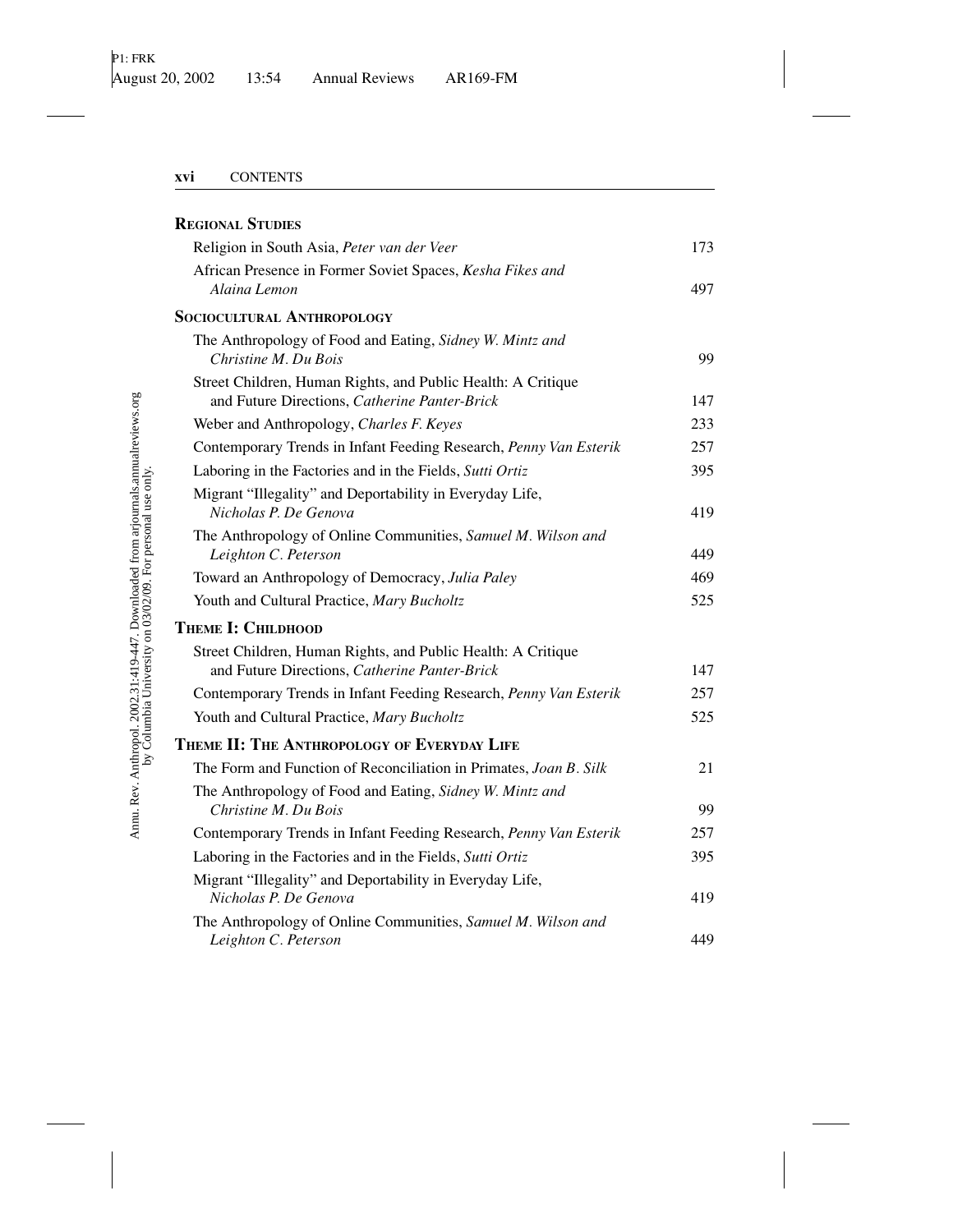| <b>REGIONAL STUDIES</b>                                                                                       |     |
|---------------------------------------------------------------------------------------------------------------|-----|
| Religion in South Asia, Peter van der Veer                                                                    | 173 |
| African Presence in Former Soviet Spaces, Kesha Fikes and<br>Alaina Lemon                                     | 497 |
| <b>SOCIOCULTURAL ANTHROPOLOGY</b>                                                                             |     |
| The Anthropology of Food and Eating, Sidney W. Mintz and<br>Christine M. Du Bois                              | 99  |
| Street Children, Human Rights, and Public Health: A Critique<br>and Future Directions, Catherine Panter-Brick | 147 |
| Weber and Anthropology, Charles F. Keyes                                                                      | 233 |
| Contemporary Trends in Infant Feeding Research, Penny Van Esterik                                             | 257 |
| Laboring in the Factories and in the Fields, Sutti Ortiz                                                      | 395 |
| Migrant "Illegality" and Deportability in Everyday Life,<br>Nicholas P. De Genova                             | 419 |
| The Anthropology of Online Communities, Samuel M. Wilson and<br>Leighton C. Peterson                          | 449 |
| Toward an Anthropology of Democracy, Julia Paley                                                              | 469 |
| Youth and Cultural Practice, Mary Bucholtz                                                                    | 525 |
| <b>THEME I: CHILDHOOD</b>                                                                                     |     |
| Street Children, Human Rights, and Public Health: A Critique<br>and Future Directions, Catherine Panter-Brick | 147 |
| Contemporary Trends in Infant Feeding Research, Penny Van Esterik                                             | 257 |
| Youth and Cultural Practice, Mary Bucholtz                                                                    | 525 |
| THEME II: THE ANTHROPOLOGY OF EVERYDAY LIFE                                                                   |     |
| The Form and Function of Reconciliation in Primates, Joan B. Silk                                             | 21  |
| The Anthropology of Food and Eating, Sidney W. Mintz and<br>Christine M. Du Bois                              | 99  |
| Contemporary Trends in Infant Feeding Research, Penny Van Esterik                                             | 257 |
| Laboring in the Factories and in the Fields, Sutti Ortiz                                                      | 395 |
| Migrant "Illegality" and Deportability in Everyday Life,<br>Nicholas P. De Genova                             | 419 |
| The Anthropology of Online Communities, Samuel M. Wilson and<br>Leighton C. Peterson                          | 449 |